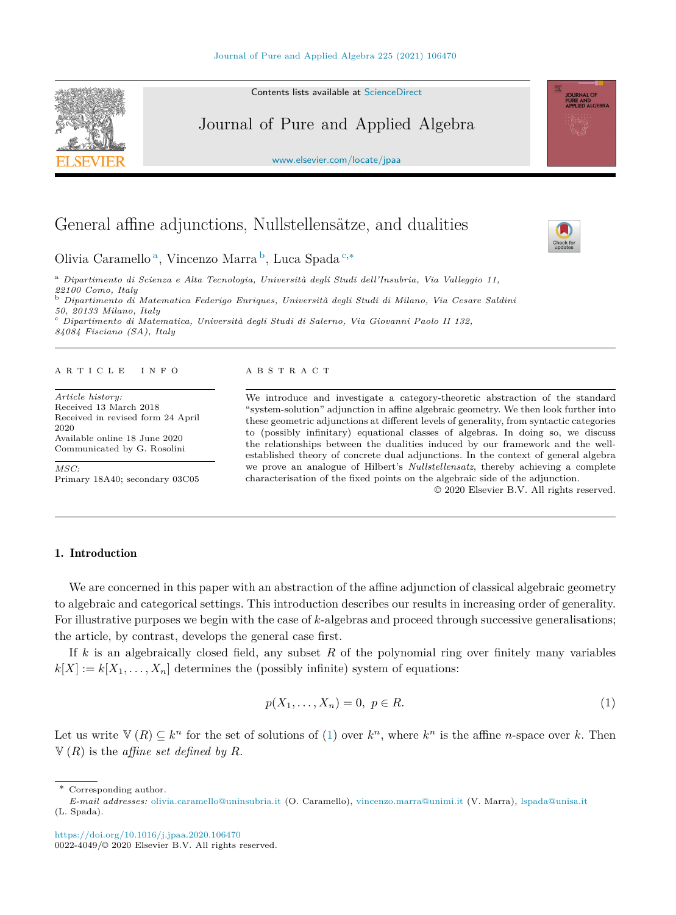Contents lists available at [ScienceDirect](http://www.ScienceDirect.com/)

# Journal of Pure and Applied Algebra

[www.elsevier.com/locate/jpaa](http://www.elsevier.com/locate/jpaa)

# General affine adjunctions, Nullstellensätze, and dualities

Olivia Caramello <sup>a</sup>, Vincenzo Marra <sup>b</sup>, Luca Spada <sup>c</sup>*,*<sup>∗</sup>

<sup>a</sup> *Dipartimento di Scienza e Alta Tecnologia, Università degli Studi del l'Insubria, Via Val leggio 11, 22100 Como, Italy* <sup>b</sup> *Dipartimento di Matematica Federigo Enriques, Università degli Studi di Milano, Via Cesare Saldini* <sup>c</sup> Dipartimento di Matematica, Università degli Studi di Salerno, Via Giovanni Paolo II 132, *84084 Fisciano (SA), Italy*

#### A R T I C L E I N F O A B S T R A C T

*Article history:* Received 13 March 2018 Received in revised form 24 April 2020 Available online 18 June 2020 Communicated by G. Rosolini

*MSC:* Primary 18A40; secondary 03C05

We introduce and investigate a category-theoretic abstraction of the standard "system-solution" adjunction in affine algebraic geometry. We then look further into these geometric adjunctions at different levels of generality, from syntactic categories to (possibly infinitary) equational classes of algebras. In doing so, we discuss the relationships between the dualities induced by our framework and the wellestablished theory of concrete dual adjunctions. In the context of general algebra we prove an analogue of Hilbert's *Nullstellensatz*, thereby achieving a complete characterisation of the fixed points on the algebraic side of the adjunction.

© 2020 Elsevier B.V. All rights reserved.

# 1. Introduction

We are concerned in this paper with an abstraction of the affine adjunction of classical algebraic geometry to algebraic and categorical settings. This introduction describes our results in increasing order of generality. For illustrative purposes we begin with the case of *k*-algebras and proceed through successive generalisations; the article, by contrast, develops the general case first.

If *k* is an algebraically closed field, any subset *R* of the polynomial ring over finitely many variables  $k[X] := k[X_1, \ldots, X_n]$  determines the (possibly infinite) system of equations:

$$
p(X_1, \ldots, X_n) = 0, \ p \in R. \tag{1}
$$

Let us write  $V(R) \subseteq k^n$  for the set of solutions of (1) over  $k^n$ , where  $k^n$  is the affine *n*-space over *k*. Then  $V(R)$  is the *affine set defined by R*.

\* Corresponding author.

<https://doi.org/10.1016/j.jpaa.2020.106470> 0022-4049/© 2020 Elsevier B.V. All rights reserved.







*E-mail addresses:* [olivia.caramello@uninsubria.it](mailto:olivia.caramello@uninsubria.it) (O. Caramello), [vincenzo.marra@unimi.it](mailto:vincenzo.marra@unimi.it) (V. Marra), [lspada@unisa.it](mailto:lspada@unisa.it) (L. Spada).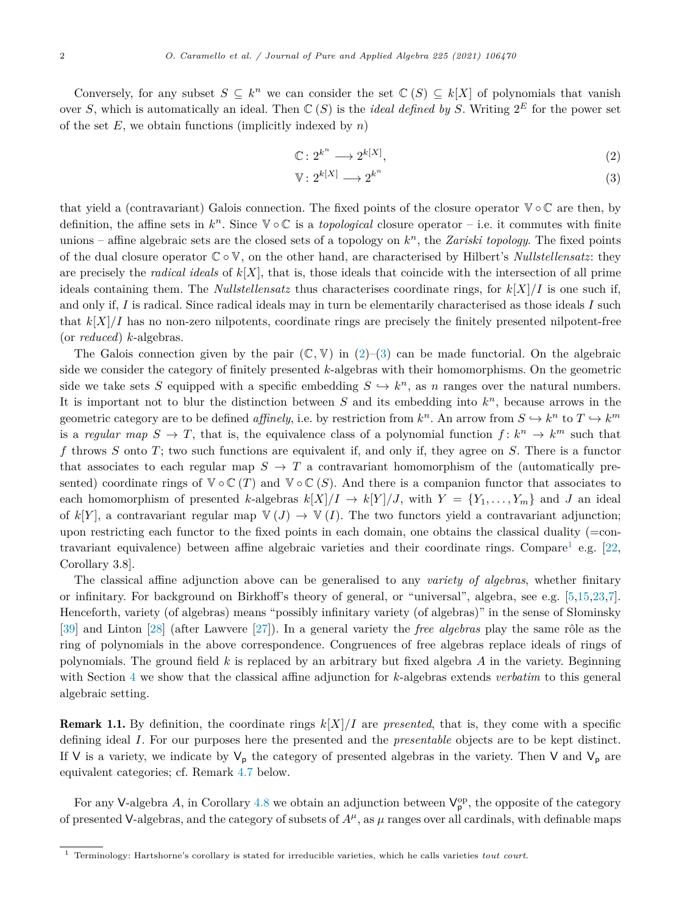Conversely, for any subset  $S \subseteq k^n$  we can consider the set  $\mathbb{C}(S) \subseteq k[X]$  of polynomials that vanish over *S*, which is automatically an ideal. Then  $\mathbb{C}(S)$  is the *ideal defined by S*. Writing  $2^E$  for the power set of the set *E*, we obtain functions (implicitly indexed by *n*)

$$
\mathbb{C}: 2^{k^n} \longrightarrow 2^{k[X]}, \tag{2}
$$

$$
\mathbb{V}: 2^{k[X]} \longrightarrow 2^{k^n} \tag{3}
$$

that yield a (contravariant) Galois connection. The fixed points of the closure operator  $\mathbb{V} \circ \mathbb{C}$  are then, by definition, the affine sets in  $k^n$ . Since  $\mathbb{V} \circ \mathbb{C}$  is a *topological* closure operator – i.e. it commutes with finite unions – affine algebraic sets are the closed sets of a topology on  $k^n$ , the *Zariski topology*. The fixed points of the dual closure operator C ◦V, on the other hand, are characterised by Hilbert's *Nullstellensatz*: they are precisely the *radical ideals* of  $k[X]$ , that is, those ideals that coincide with the intersection of all prime ideals containing them. The *Nullstellensatz* thus characterises coordinate rings, for  $k[X]/I$  is one such if, and only if, *I* is radical. Since radical ideals may in turn be elementarily characterised as those ideals *I* such that  $k[X]/I$  has no non-zero nilpotents, coordinate rings are precisely the finitely presented nilpotent-free (or *reduced*) *k*-algebras.

The Galois connection given by the pair  $(\mathbb{C}, \mathbb{V})$  in  $(2)$ –(3) can be made functorial. On the algebraic side we consider the category of finitely presented *k*-algebras with their homomorphisms. On the geometric side we take sets *S* equipped with a specific embedding  $S \hookrightarrow k^n$ , as *n* ranges over the natural numbers. It is important not to blur the distinction between *S* and its embedding into *k<sup>n</sup>*, because arrows in the geometric category are to be defined *affinely*, i.e. by restriction from  $k^n$ . An arrow from  $S \hookrightarrow k^n$  to  $T \hookrightarrow k^m$ is a regular map  $S \to T$ , that is, the equivalence class of a polynomial function  $f: k^n \to k^m$  such that *f* throws *S* onto *T*; two such functions are equivalent if, and only if, they agree on *S*. There is a functor that associates to each regular map  $S \to T$  a contravariant homomorphism of the (automatically presented) coordinate rings of  $\mathbb{V} \circ \mathbb{C}(T)$  and  $\mathbb{V} \circ \mathbb{C}(S)$ . And there is a companion functor that associates to each homomorphism of presented *k*-algebras  $k[X]/I \rightarrow k[Y]/J$ , with  $Y = \{Y_1, \ldots, Y_m\}$  and *J* an ideal of  $k[Y]$ , a contravariant regular map  $\mathbb{V}(J) \to \mathbb{V}(I)$ . The two functors yield a contravariant adjunction; upon restricting each functor to the fixed points in each domain, one obtains the classical duality (=contravariant equivalence) between affine algebraic varieties and their coordinate rings. Compare<sup>1</sup> e.g.  $[22,$  $[22,$ Corollary 3.8].

The classical affine adjunction above can be generalised to any *variety of algebras*, whether finitary or infinitary. For background on Birkhoff's theory of general, or "universal", algebra, see e.g. [[5,](#page-31-0)[15,23](#page-32-0),[7\]](#page-31-0). Henceforth, variety (of algebras) means "possibly infinitary variety (of algebras)" in the sense of Słominsky [[39\]](#page-32-0) and Linton [\[28](#page-32-0)] (after Lawvere [[27\]](#page-32-0)). In a general variety the *free algebras* play the same rôle as the ring of polynomials in the above correspondence. Congruences of free algebras replace ideals of rings of polynomials. The ground field *k* is replaced by an arbitrary but fixed algebra *A* in the variety. Beginning with Section [4](#page-14-0) we show that the classical affine adjunction for *k*-algebras extends *verbatim* to this general algebraic setting.

**Remark 1.1.** By definition, the coordinate rings  $k[X]/I$  are *presented*, that is, they come with a specific defining ideal *I*. For our purposes here the presented and the *presentable* objects are to be kept distinct. If V is a variety, we indicate by  $V_p$  the category of presented algebras in the variety. Then V and  $V_p$  are equivalent categories; cf. Remark [4.7](#page-18-0) below.

For any V-algebra A, in Corollary [4.8](#page-18-0) we obtain an adjunction between  $V_p^{\rm op}$ , the opposite of the category of presented V-algebras, and the category of subsets of  $A^{\mu}$ , as  $\mu$  ranges over all cardinals, with definable maps

<sup>1</sup> Terminology: Hartshorne's corollary is stated for irreducible varieties, which he calls varieties *tout court*.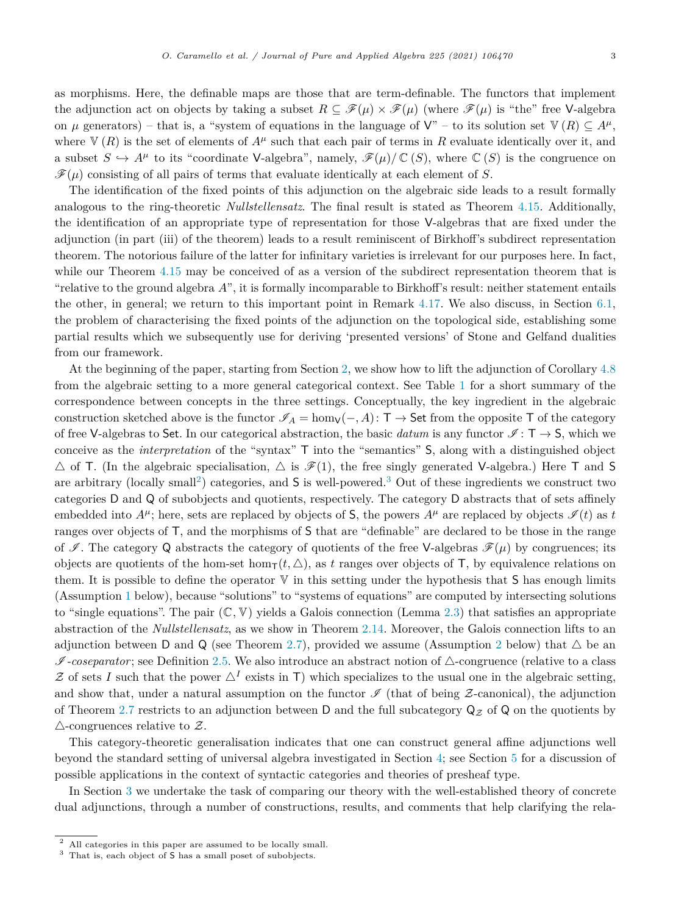as morphisms. Here, the definable maps are those that are term-definable. The functors that implement the adjunction act on objects by taking a subset  $R \subseteq \mathscr{F}(\mu) \times \mathscr{F}(\mu)$  (where  $\mathscr{F}(\mu)$  is "the" free V-algebra on *μ* generators) – that is, a "system of equations in the language of  $V''$  – to its solution set  $V(R) \subseteq A^{\mu}$ , where  $V(R)$  is the set of elements of  $A^{\mu}$  such that each pair of terms in R evaluate identically over it, and a subset  $S \hookrightarrow A^{\mu}$  to its "coordinate V-algebra", namely,  $\mathscr{F}(\mu)/\mathbb{C}(S)$ , where  $\mathbb{C}(S)$  is the congruence on  $\mathscr{F}(\mu)$  consisting of all pairs of terms that evaluate identically at each element of *S*.

The identification of the fixed points of this adjunction on the algebraic side leads to a result formally analogous to the ring-theoretic *Nullstellensatz*. The final result is stated as Theorem [4.15.](#page-22-0) Additionally, the identification of an appropriate type of representation for those V-algebras that are fixed under the adjunction (in part (iii) of the theorem) leads to a result reminiscent of Birkhoff's subdirect representation theorem. The notorious failure of the latter for infinitary varieties is irrelevant for our purposes here. In fact, while our Theorem [4.15](#page-22-0) may be conceived of as a version of the subdirect representation theorem that is "relative to the ground algebra *A*", it is formally incomparable to Birkhoff's result: neither statement entails the other, in general; we return to this important point in Remark [4.17](#page-23-0). We also discuss, in Section [6.1](#page-26-0), the problem of characterising the fixed points of the adjunction on the topological side, establishing some partial results which we subsequently use for deriving 'presented versions' of Stone and Gelfand dualities from our framework.

At the beginning of the paper, starting from Section [2](#page-4-0), we show how to lift the adjunction of Corollary [4.8](#page-18-0) from the algebraic setting to a more general categorical context. See Table [1](#page-3-0) for a short summary of the correspondence between concepts in the three settings. Conceptually, the key ingredient in the algebraic construction sketched above is the functor  $\mathscr{I}_A = \text{hom}_V(-, A)$ : T  $\rightarrow$  Set from the opposite T of the category of free V-algebras to Set. In our categorical abstraction, the basic *datum* is any functor  $\mathcal{I}: T \to S$ , which we conceive as the *interpretation* of the "syntax" T into the "semantics" S, along with a distinguished object  $\triangle$  of T. (In the algebraic specialisation,  $\triangle$  is  $\mathscr{F}(1)$ , the free singly generated V-algebra.) Here T and S are arbitrary (locally small<sup>2</sup>) categories, and  $S$  is well-powered.<sup>3</sup> Out of these ingredients we construct two categories D and Q of subobjects and quotients, respectively. The category D abstracts that of sets affinely embedded into  $A^{\mu}$ ; here, sets are replaced by objects of S, the powers  $A^{\mu}$  are replaced by objects  $\mathcal{I}(t)$  as *t* ranges over objects of T, and the morphisms of S that are "definable" are declared to be those in the range of I. The category Q abstracts the category of quotients of the free V-algebras  $\mathscr{F}(\mu)$  by congruences; its objects are quotients of the hom-set hom $\tau(t, \triangle)$ , as t ranges over objects of T, by equivalence relations on them. It is possible to define the operator  $V$  in this setting under the hypothesis that  $S$  has enough limits (Assumption [1](#page-4-0) below), because "solutions" to "systems of equations" are computed by intersecting solutions to "single equations". The pair  $(\mathbb{C}, \mathbb{V})$  yields a Galois connection (Lemma [2.3](#page-5-0)) that satisfies an appropriate abstraction of the *Nullstellensatz*, as we show in Theorem [2.14](#page-10-0). Moreover, the Galois connection lifts to an adjunction between D and Q (see Theorem [2.7\)](#page-7-0), provided we assume (Assumption [2](#page-7-0) below) that  $\triangle$  be an  $\mathscr{I}\text{-}coseparator$ ; see Definition [2.5.](#page-7-0) We also introduce an abstract notion of  $\triangle$ -congruence (relative to a class  $Z$  of sets *I* such that the power  $\Delta^{I}$  exists in T) which specializes to the usual one in the algebraic setting, and show that, under a natural assumption on the functor  $\mathscr I$  (that of being  $\mathcal Z$ -canonical), the adjunction of Theorem [2.7](#page-7-0) restricts to an adjunction between D and the full subcategory  $Q_Z$  of Q on the quotients by  $\triangle$ -congruences relative to  $\mathcal{Z}$ .

This category-theoretic generalisation indicates that one can construct general affine adjunctions well beyond the standard setting of universal algebra investigated in Section [4](#page-14-0); see Section [5](#page-24-0) for a discussion of possible applications in the context of syntactic categories and theories of presheaf type.

In Section [3](#page-11-0) we undertake the task of comparing our theory with the well-established theory of concrete dual adjunctions, through a number of constructions, results, and comments that help clarifying the rela-

<sup>2</sup> All categories in this paper are assumed to be locally small.

<sup>3</sup> That is, each object of S has a small poset of subobjects.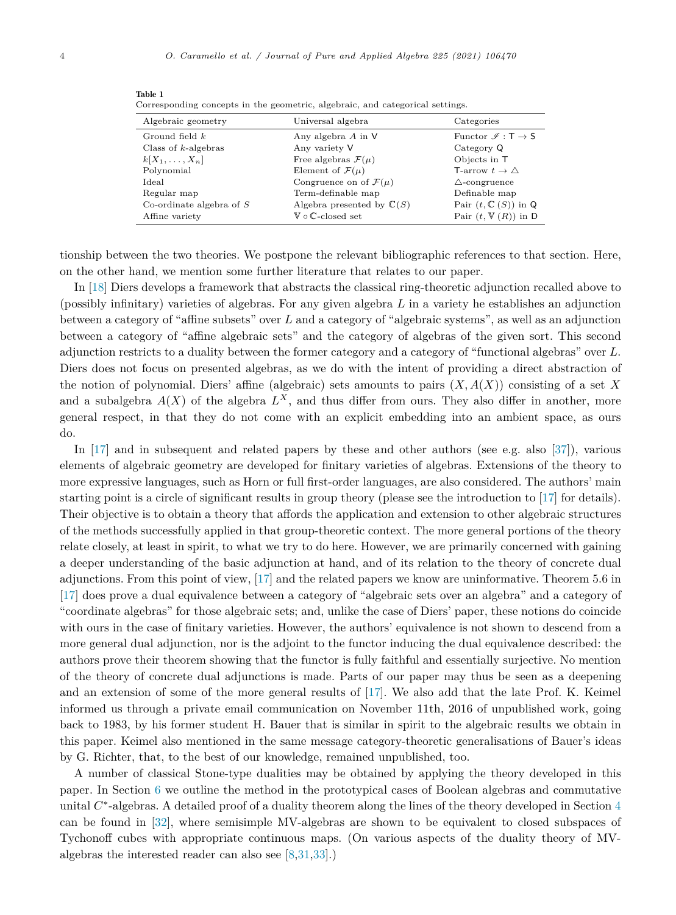| Algebraic geometry         | Universal algebra                       | Categories                                       |
|----------------------------|-----------------------------------------|--------------------------------------------------|
| Ground field $k$           | Any algebra $A$ in $V$                  | Functor $\mathscr{I}: \mathsf{T} \to \mathsf{S}$ |
| Class of $k$ -algebras     | Any variety V                           | Category Q                                       |
| $k[X_1,\ldots,X_n]$        | Free algebras $\mathcal{F}(\mu)$        | Objects in T                                     |
| Polynomial                 | Element of $\mathcal{F}(\mu)$           | T-arrow $t \to \triangle$                        |
| Ideal                      | Congruence on of $\mathcal{F}(\mu)$     | $\triangle$ -congruence                          |
| Regular map                | Term-definable map                      | Definable map                                    |
| Co-ordinate algebra of $S$ | Algebra presented by $\mathbb{C}(S)$    | Pair $(t, \mathbb{C}(S))$ in Q                   |
| Affine variety             | $\mathbb V \circ \mathbb C$ -closed set | Pair $(t, \mathbb{V}(R))$ in D                   |

<span id="page-3-0"></span>Table 1 Corresponding concepts in the geometric, algebraic, and categorical settings.

tionship between the two theories. We postpone the relevant bibliographic references to that section. Here, on the other hand, we mention some further literature that relates to our paper.

In [[18\]](#page-32-0) Diers develops a framework that abstracts the classical ring-theoretic adjunction recalled above to (possibly infinitary) varieties of algebras. For any given algebra *L* in a variety he establishes an adjunction between a category of "affine subsets" over *L* and a category of "algebraic systems", as well as an adjunction between a category of "affine algebraic sets" and the category of algebras of the given sort. This second adjunction restricts to a duality between the former category and a category of "functional algebras" over *L*. Diers does not focus on presented algebras, as we do with the intent of providing a direct abstraction of the notion of polynomial. Diers' affine (algebraic) sets amounts to pairs  $(X, A(X))$  consisting of a set X and a subalgebra  $A(X)$  of the algebra  $L^X$ , and thus differ from ours. They also differ in another, more general respect, in that they do not come with an explicit embedding into an ambient space, as ours do.

In [\[17\]](#page-32-0) and in subsequent and related papers by these and other authors (see e.g. also [\[37\]](#page-32-0)), various elements of algebraic geometry are developed for finitary varieties of algebras. Extensions of the theory to more expressive languages, such as Horn or full first-order languages, are also considered. The authors' main starting point is a circle of significant results in group theory (please see the introduction to [\[17\]](#page-32-0) for details). Their objective is to obtain a theory that affords the application and extension to other algebraic structures of the methods successfully applied in that group-theoretic context. The more general portions of the theory relate closely, at least in spirit, to what we try to do here. However, we are primarily concerned with gaining a deeper understanding of the basic adjunction at hand, and of its relation to the theory of concrete dual adjunctions. From this point of view, [\[17\]](#page-32-0) and the related papers we know are uninformative. Theorem 5.6 in [[17\]](#page-32-0) does prove a dual equivalence between a category of "algebraic sets over an algebra" and a category of "coordinate algebras" for those algebraic sets; and, unlike the case of Diers' paper, these notions do coincide with ours in the case of finitary varieties. However, the authors' equivalence is not shown to descend from a more general dual adjunction, nor is the adjoint to the functor inducing the dual equivalence described: the authors prove their theorem showing that the functor is fully faithful and essentially surjective. No mention of the theory of concrete dual adjunctions is made. Parts of our paper may thus be seen as a deepening and an extension of some of the more general results of [[17\]](#page-32-0). We also add that the late Prof. K. Keimel informed us through a private email communication on November 11th, 2016 of unpublished work, going back to 1983, by his former student H. Bauer that is similar in spirit to the algebraic results we obtain in this paper. Keimel also mentioned in the same message category-theoretic generalisations of Bauer's ideas by G. Richter, that, to the best of our knowledge, remained unpublished, too.

A number of classical Stone-type dualities may be obtained by applying the theory developed in this paper. In Section [6](#page-26-0) we outline the method in the prototypical cases of Boolean algebras and commutative unital *C*∗-algebras. A detailed proof of a duality theorem along the lines of the theory developed in Section [4](#page-14-0) can be found in [\[32](#page-32-0)], where semisimple MV-algebras are shown to be equivalent to closed subspaces of Tychonoff cubes with appropriate continuous maps. (On various aspects of the duality theory of MValgebras the interested reader can also see [\[8](#page-31-0),[31,33\]](#page-32-0).)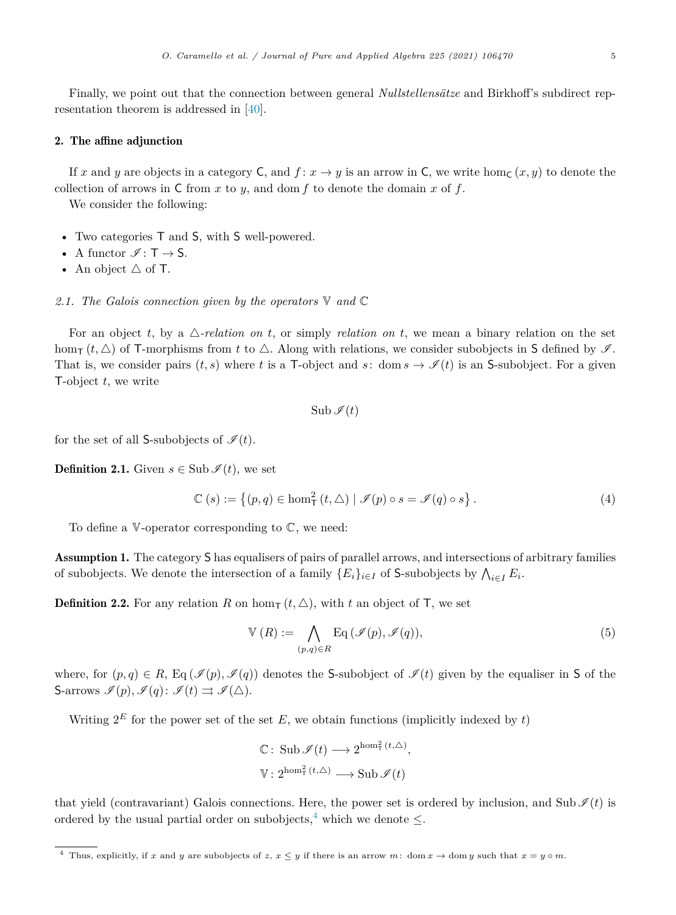<span id="page-4-0"></span>Finally, we point out that the connection between general *Nullstellensätze* and Birkhoff's subdirect representation theorem is addressed in [\[40](#page-32-0)].

# 2. The affine adjunction

If *x* and *y* are objects in a category C, and  $f: x \to y$  is an arrow in C, we write hom<sub>C</sub>  $(x, y)$  to denote the collection of arrows in  $C$  from  $x$  to  $y$ , and dom  $f$  to denote the domain  $x$  of  $f$ .

We consider the following:

- Two categories T and S, with S well-powered.
- A functor  $\mathscr{I} : \mathsf{T} \to \mathsf{S}.$
- An object  $\triangle$  of T.

#### *2.1. The Galois connection given by the operators* V *and* C

For an object  $t$ , by a  $\triangle$ -relation on  $t$ , or simply *relation* on  $t$ , we mean a binary relation on the set hom<sub>T</sub>  $(t, \triangle)$  of T-morphisms from *t* to  $\triangle$ . Along with relations, we consider subobjects in S defined by  $\mathscr{I}$ . That is, we consider pairs  $(t, s)$  where *t* is a T-object and *s*: dom  $s \to \mathscr{I}(t)$  is an S-subobject. For a given T-object *t*, we write

 $\text{Sub } \mathscr{I}(t)$ 

for the set of all S-subobjects of  $\mathcal{I}(t)$ .

**Definition 2.1.** Given  $s \in \text{Sub }\mathscr{I}(t)$ , we set

$$
\mathbb{C}\left(s\right) := \left\{ (p,q) \in \text{hom}_{\mathsf{T}}^2\left(t,\Delta\right) \mid \mathscr{I}(p) \circ s = \mathscr{I}(q) \circ s \right\}. \tag{4}
$$

To define a  $\mathbb V$ -operator corresponding to  $\mathbb C$ , we need:

Assumption 1. The category S has equalisers of pairs of parallel arrows, and intersections of arbitrary families of subobjects. We denote the intersection of a family  ${E_i}_{i \in I}$  of S-subobjects by  $\bigwedge_{i \in I} E_i$ .

**Definition 2.2.** For any relation *R* on hom<sub>T</sub>  $(t, \triangle)$ , with *t* an object of **T**, we set

$$
\mathbb{V}(R) := \bigwedge_{(p,q)\in R} \text{Eq}(\mathscr{I}(p), \mathscr{I}(q)),\tag{5}
$$

where, for  $(p,q) \in R$ , Eq  $(\mathcal{I}(p), \mathcal{I}(q))$  denotes the S-subobject of  $\mathcal{I}(t)$  given by the equaliser in S of the S-arrows  $\mathscr{I}(p), \mathscr{I}(q): \mathscr{I}(t) \rightrightarrows \mathscr{I}(\triangle)$ .

Writing  $2^E$  for the power set of the set  $E$ , we obtain functions (implicitly indexed by  $t$ )

$$
\begin{aligned} \mathbb{C} &\colon \operatorname{Sub}\mathscr{I}(t) \longrightarrow 2^{\hom_{\mathsf{T}}^2(t,\triangle)}, \\ \mathbb{V} &\colon 2^{\hom_{\mathsf{T}}^2(t,\triangle)} \longrightarrow \operatorname{Sub}\mathscr{I}(t) \end{aligned}
$$

that yield (contravariant) Galois connections. Here, the power set is ordered by inclusion, and Sub  $\mathcal{I}(t)$  is ordered by the usual partial order on subobjects,<sup>4</sup> which we denote  $\leq$ .

<sup>&</sup>lt;sup>4</sup> Thus, explicitly, if *x* and *y* are subobjects of *z*,  $x \leq y$  if there is an arrow  $m:$  dom  $x \to$  dom  $y$  such that  $x = y \circ m$ .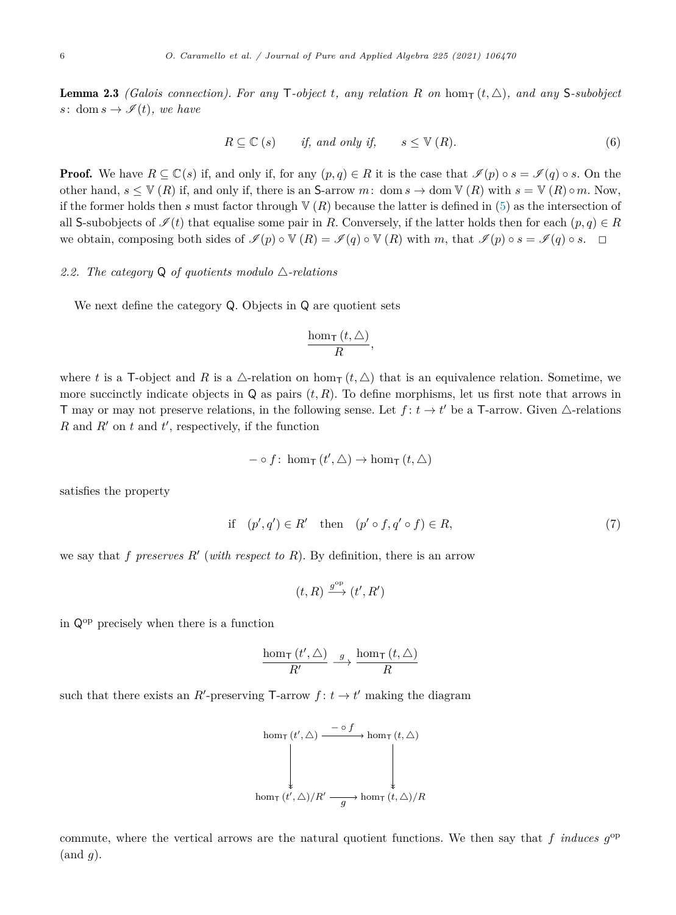<span id="page-5-0"></span>**Lemma 2.3** *(Galois connection). For any* T-object *t*, any relation R on home  $(t, \triangle)$ , and any S-subobject *s*: dom  $s \to \mathscr{I}(t)$ *, we have* 

$$
R \subseteq \mathbb{C} \ (s) \qquad \text{if, and only if,} \qquad s \leq \mathbb{V} \ (R). \tag{6}
$$

**Proof.** We have  $R \subseteq \mathbb{C}(s)$  if, and only if, for any  $(p,q) \in R$  it is the case that  $\mathcal{I}(p) \circ s = \mathcal{I}(q) \circ s$ . On the other hand,  $s \leq \mathbb{V}(R)$  if, and only if, there is an S-arrow *m*: dom  $s \to \text{dom } \mathbb{V}(R)$  with  $s = \mathbb{V}(R) \circ m$ . Now, if the former holds then *s* must factor through  $V(R)$  because the latter is defined in ([5\)](#page-4-0) as the intersection of all S-subobjects of  $\mathscr{I}(t)$  that equalise some pair in *R*. Conversely, if the latter holds then for each  $(p,q) \in R$ we obtain, composing both sides of  $\mathcal{I}(p) \circ \mathbb{V}(R) = \mathcal{I}(q) \circ \mathbb{V}(R)$  with *m*, that  $\mathcal{I}(p) \circ s = \mathcal{I}(q) \circ s$ .  $\Box$ 

# 2.2. The category  $Q$  of quotients modulo  $\triangle$ -relations

We next define the category Q. Objects in Q are quotient sets

$$
\frac{\hom_{\mathsf{T}}\left( t,\triangle\right) }{R},
$$

where *t* is a T-object and *R* is a  $\triangle$ -relation on hom<sub>T</sub>  $(t, \triangle)$  that is an equivalence relation. Sometime, we more succinctly indicate objects in  $Q$  as pairs  $(t, R)$ . To define morphisms, let us first note that arrows in T may or may not preserve relations, in the following sense. Let  $f: t \to t'$  be a T-arrow. Given  $\triangle$ -relations *R* and *R*<sup>'</sup> on *t* and *t*<sup>'</sup>, respectively, if the function

$$
- \circ f : \text{hom}_{\mathsf{T}}\left(t', \triangle\right) \to \text{hom}_{\mathsf{T}}\left(t, \triangle\right)
$$

satisfies the property

$$
\text{if} \quad (p', q') \in R' \quad \text{then} \quad (p' \circ f, q' \circ f) \in R,\tag{7}
$$

we say that *f* preserves  $R'$  (with respect to  $R$ ). By definition, there is an arrow

$$
(t,R)\xrightarrow{g^{\rm op}} (t',R')
$$

in Qop precisely when there is a function

$$
\frac{\hom_{\mathsf{T}}(t', \triangle)}{R'} \stackrel{g}{\longrightarrow} \frac{\hom_{\mathsf{T}}(t, \triangle)}{R}
$$

such that there exists an *R*'-preserving  $\mathsf{T}\text{-}$ arrow  $f: t \to t'$  making the diagram

$$
\text{hom}_{\mathsf{T}}(t', \Delta) \xrightarrow{\mathsf{neg}(f)} \text{hom}_{\mathsf{T}}(t, \Delta)
$$
\n
$$
\downarrow \qquad \qquad \downarrow
$$
\n
$$
\text{hom}_{\mathsf{T}}(t', \Delta)/R' \xrightarrow{g} \text{hom}_{\mathsf{T}}(t, \Delta)/R
$$

commute, where the vertical arrows are the natural quotient functions. We then say that  $f$  *induces*  $g^{\rm op}$ (and *g*).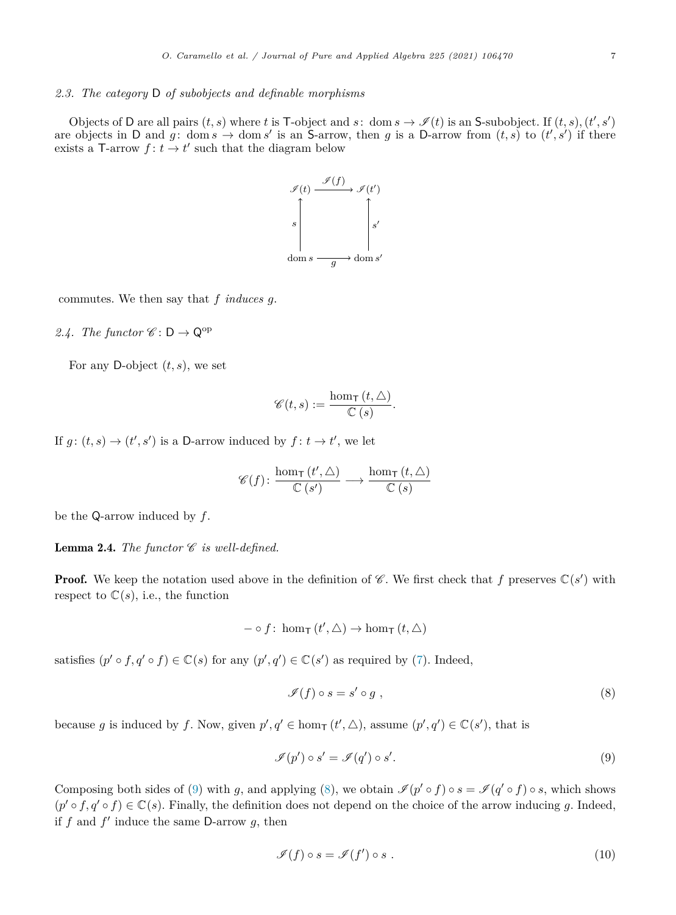#### <span id="page-6-0"></span>*2.3. The category* D *of subobjects and definable morphisms*

Objects of D are all pairs  $(t, s)$  where  $t$  is T-object and  $s$ : dom  $s \to \mathscr{I}(t)$  is an S-subobject. If  $(t, s)$ ,  $(t', s')$ are objects in D and  $g: \text{ dom } s \to \text{ dom } s'$  is an S-arrow, then  $g$  is a D-arrow from  $(t, s)$  to  $(t', s')$  if there exists a T-arrow  $f: t \to t'$  such that the diagram below



commutes. We then say that *f induces g*.

2.4. The functor  $\mathscr{C}: \mathsf{D} \to \mathsf{Q}^{\mathrm{op}}$ 

For any D-object  $(t, s)$ , we set

$$
\mathscr{C}(t,s) := \frac{\hom_{\mathsf{T}}\left(t,\triangle\right)}{\mathbb{C}\left(s\right)}.
$$

If  $g: (t, s) \to (t', s')$  is a D-arrow induced by  $f: t \to t'$ , we let

$$
\mathscr{C}(f) \colon \frac{\hom_{\mathsf{T}}\left(t', \Delta\right)}{\mathbb{C}\left(s'\right)} \longrightarrow \frac{\hom_{\mathsf{T}}\left(t, \Delta\right)}{\mathbb{C}\left(s\right)}
$$

be the Q-arrow induced by *f*.

**Lemma 2.4.** *The functor*  $\mathscr C$  *is well-defined.* 

**Proof.** We keep the notation used above in the definition of  $\mathscr{C}$ . We first check that  $f$  preserves  $\mathbb{C}(s')$  with respect to  $\mathbb{C}(s)$ , i.e., the function

$$
- \circ f \colon \hom_{\mathsf{T}}(t', \triangle) \to \hom_{\mathsf{T}}(t, \triangle)
$$

satisfies  $(p' \circ f, q' \circ f) \in \mathbb{C}(s)$  for any  $(p', q') \in \mathbb{C}(s')$  as required by ([7\)](#page-5-0). Indeed,

$$
\mathscr{I}(f) \circ s = s' \circ g \tag{8}
$$

because *g* is induced by *f*. Now, given  $p', q' \in \text{hom}_{\mathsf{T}}(t', \triangle)$ , assume  $(p', q') \in \mathbb{C}(s')$ , that is

$$
\mathscr{I}(p') \circ s' = \mathscr{I}(q') \circ s'.\tag{9}
$$

Composing both sides of (9) with *g*, and applying (8), we obtain  $\mathcal{I}(p' \circ f) \circ s = \mathcal{I}(q' \circ f) \circ s$ , which shows  $(p' \circ f, q' \circ f) \in \mathbb{C}(s)$ . Finally, the definition does not depend on the choice of the arrow inducing *g*. Indeed, if  $f$  and  $f'$  induce the same D-arrow  $g$ , then

$$
\mathcal{I}(f) \circ s = \mathcal{I}(f') \circ s . \tag{10}
$$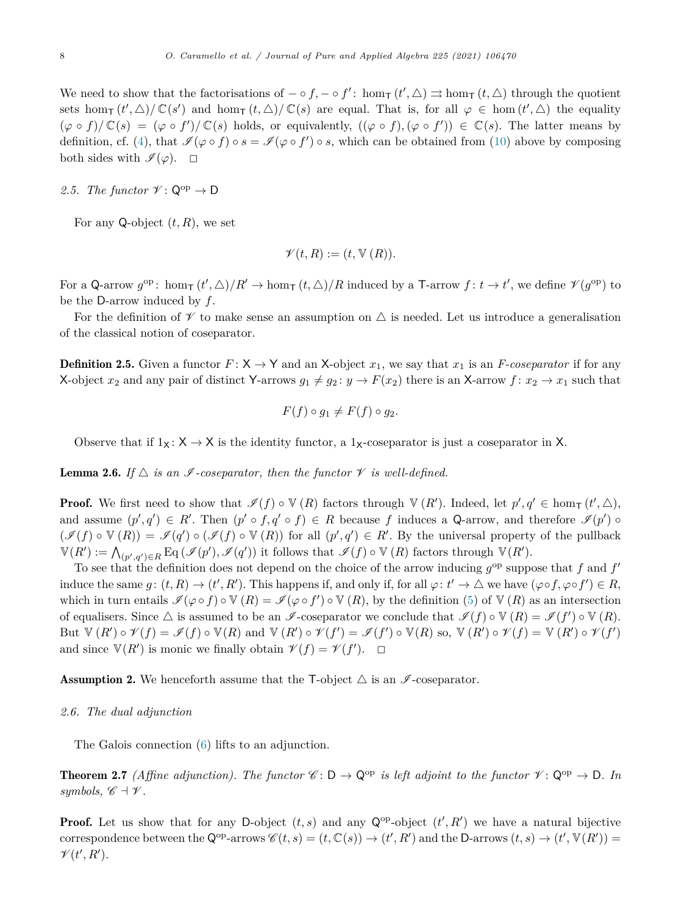<span id="page-7-0"></span>We need to show that the factorisations of  $-\circ f, -\circ f'$ : hom<sub>T</sub>  $(t', \triangle) \Rightarrow$  hom<sub>T</sub>  $(t, \triangle)$  through the quotient sets hom<sub>T</sub>  $(t', \triangle)/\mathbb{C}(s')$  and hom<sub>T</sub>  $(t, \triangle)/\mathbb{C}(s)$  are equal. That is, for all  $\varphi \in \text{hom}(t', \triangle)$  the equality  $(\varphi \circ f)/\mathbb{C}(s) = (\varphi \circ f')/\mathbb{C}(s)$  holds, or equivalently,  $((\varphi \circ f), (\varphi \circ f')) \in \mathbb{C}(s)$ . The latter means by definition, cf. ([4\)](#page-4-0), that  $\mathscr{I}(\varphi \circ f) \circ s = \mathscr{I}(\varphi \circ f') \circ s$ , which can be obtained from [\(10](#page-6-0)) above by composing both sides with  $\mathscr{I}(\varphi)$ .  $\Box$ 

# 2.5. The functor  $\mathscr{V} \colon \mathsf{Q}^{\mathrm{op}} \to \mathsf{D}$

For any Q-object  $(t, R)$ , we set

$$
\mathscr{V}(t,R) := (t, \mathbb{V}(R)).
$$

For a Q-arrow  $g^{\rm op}$ :  $\hom_{\mathsf{T}}(t', \triangle)/R' \to \hom_{\mathsf{T}}(t, \triangle)/R$  induced by a T-arrow  $f: t \to t'$ , we define  $\mathscr{V}(g^{\rm op})$  to be the D-arrow induced by *f*.

For the definition of  $\mathscr V$  to make sense an assumption on  $\triangle$  is needed. Let us introduce a generalisation of the classical notion of coseparator.

**Definition 2.5.** Given a functor  $F: X \to Y$  and an X-object  $x_1$ , we say that  $x_1$  is an *F-coseparator* if for any X-object  $x_2$  and any pair of distinct Y-arrows  $g_1 \neq g_2$ :  $y \to F(x_2)$  there is an X-arrow  $f: x_2 \to x_1$  such that

$$
F(f) \circ g_1 \neq F(f) \circ g_2.
$$

Observe that if  $1_X: X \to X$  is the identity functor, a  $1_X$ -coseparator is just a coseparator in X.

**Lemma 2.6.** If  $\triangle$  *is an I* -coseparator, then the functor  $\mathcal V$  *is well-defined.* 

**Proof.** We first need to show that  $\mathscr{I}(f) \circ \mathbb{V}(R)$  factors through  $\mathbb{V}(R')$ . Indeed, let  $p', q' \in \text{hom}_{\mathsf{T}}(t', \triangle)$ , and assume  $(p', q') \in R'$ . Then  $(p' \circ f, q' \circ f) \in R$  because *f* induces a Q-arrow, and therefore  $\mathcal{I}(p') \circ f$  $(\mathscr{I}(f) \circ \mathbb{V}(R)) = \mathscr{I}(q') \circ (\mathscr{I}(f) \circ \mathbb{V}(R))$  for all  $(p', q') \in R'$ . By the universal property of the pullback  $\mathbb{V}(R') := \bigwedge_{(p',q') \in R} \mathrm{Eq}(\mathscr{I}(p'), \mathscr{I}(q'))$  it follows that  $\mathscr{I}(f) \circ \mathbb{V}(R)$  factors through  $\mathbb{V}(R')$ .

To see that the definition does not depend on the choice of the arrow inducing  $g^{\rm op}$  suppose that *f* and  $f'$ induce the same  $g: (t, R) \to (t', R')$ . This happens if, and only if, for all  $\varphi: t' \to \triangle$  we have  $(\varphi \circ f, \varphi \circ f') \in R$ , which in turn entails  $\mathscr{I}(\varphi \circ f) \circ \mathbb{V}(R) = \mathscr{I}(\varphi \circ f') \circ \mathbb{V}(R)$ , by the definition ([5\)](#page-4-0) of  $\mathbb{V}(R)$  as an intersection of equalisers. Since  $\triangle$  is assumed to be an  $\mathscr{I}$ -coseparator we conclude that  $\mathscr{I}(f) \circ \mathbb{V}(R) = \mathscr{I}(f') \circ \mathbb{V}(R)$ . But  $\mathbb{V}(R') \circ \mathscr{V}(f) = \mathscr{I}(f) \circ \mathbb{V}(R)$  and  $\mathbb{V}(R') \circ \mathscr{V}(f') = \mathscr{I}(f') \circ \mathbb{V}(R)$  so,  $\mathbb{V}(R') \circ \mathscr{V}(f) = \mathbb{V}(R') \circ \mathscr{V}(f')$ and since  $\mathbb{V}(R')$  is monic we finally obtain  $\mathscr{V}(f) = \mathscr{V}(f')$ .  $\Box$ 

**Assumption 2.** We henceforth assume that the T-object  $\triangle$  is an  $\mathscr{I}$ -coseparator.

# *2.6. The dual adjunction*

The Galois connection [\(6](#page-5-0)) lifts to an adjunction.

**Theorem 2.7** *(Affine adjunction). The functor*  $\mathscr{C}: \mathsf{D} \to \mathsf{Q}^{\mathrm{op}}$  *is left adjoint to the functor*  $\mathscr{V}: \mathsf{Q}^{\mathrm{op}} \to \mathsf{D}$ *. In symbols,*  $\mathscr{C} \dashv \mathscr{V}$ *.* 

**Proof.** Let us show that for any D-object  $(t, s)$  and any  $\mathbb{Q}^{\text{op}}$ -object  $(t', R')$  we have a natural bijective correspondence between the  $\mathsf{Q}^{\text{op}}$ -arrows  $\mathscr{C}(t,s) = (t,\mathbb{C}(s)) \to (t',R')$  and the D-arrows  $(t,s) \to (t',\mathbb{V}(R')) =$  $\mathscr{V}(t',R').$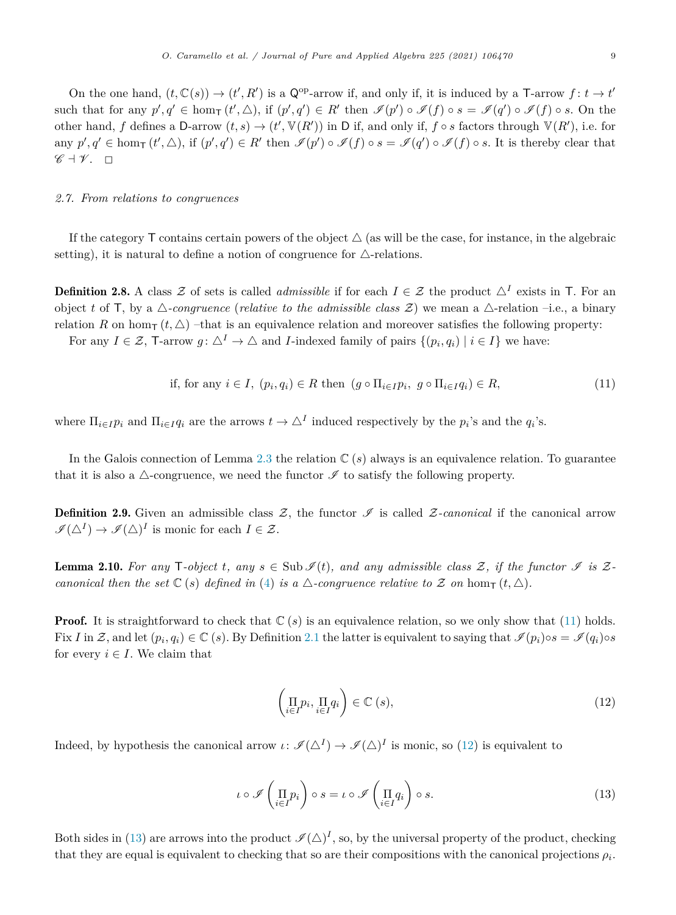<span id="page-8-0"></span>On the one hand,  $(t, \mathbb{C}(s)) \to (t', R')$  is a  $\mathbb{Q}^{\text{op}}$ -arrow if, and only if, it is induced by a T-arrow  $f: t \to t'$ such that for any  $p', q' \in \text{hom}_{\mathsf{T}}(t', \triangle)$ , if  $(p', q') \in R'$  then  $\mathscr{I}(p') \circ \mathscr{I}(f) \circ s = \mathscr{I}(q') \circ \mathscr{I}(f) \circ s$ . On the other hand,  $f$  defines a D-arrow  $(t, s) \to (t', \mathbb{V}(R'))$  in D if, and only if,  $f \circ s$  factors through  $\mathbb{V}(R')$ , i.e. for any  $p', q' \in \text{hom}_{\mathsf{T}}(t', \triangle)$ , if  $(p', q') \in R'$  then  $\mathscr{I}(p') \circ \mathscr{I}(f) \circ s = \mathscr{I}(q') \circ \mathscr{I}(f) \circ s$ . It is thereby clear that  $\mathscr{C} \dashv \mathscr{V}$ .  $\Box$ 

# *2.7. From relations to congruences*

If the category  $\mathsf T$  contains certain powers of the object  $\Delta$  (as will be the case, for instance, in the algebraic setting), it is natural to define a notion of congruence for  $\triangle$ -relations.

**Definition 2.8.** A class  $\mathcal Z$  of sets is called *admissible* if for each  $I \in \mathcal Z$  the product  $\Delta^I$  exists in T. For an object t of T, by a  $\triangle$ -congruence (*relative* to the *admissible* class  $\mathcal{Z}$ ) we mean a  $\triangle$ -relation –i.e., a binary relation *R* on hom<sub>T</sub>  $(t, \triangle)$  –that is an equivalence relation and moreover satisfies the following property: For any  $I \in \mathcal{Z}$ , T-arrow  $g: \triangle^I \to \triangle$  and *I*-indexed family of pairs  $\{(p_i, q_i) | i \in I\}$  we have:

if, for any 
$$
i \in I
$$
,  $(p_i, q_i) \in R$  then  $(g \circ \Pi_{i \in I} p_i, g \circ \Pi_{i \in I} q_i) \in R$ , 
$$
(11)
$$

where  $\Pi_{i \in I} p_i$  and  $\Pi_{i \in I} q_i$  are the arrows  $t \to \Delta^I$  induced respectively by the  $p_i$ 's and the  $q_i$ 's.

In the Galois connection of Lemma [2.3](#page-5-0) the relation  $\mathbb{C}(s)$  always is an equivalence relation. To guarantee that it is also a  $\triangle$ -congruence, we need the functor  $\mathscr I$  to satisfy the following property.

**Definition 2.9.** Given an admissible class  $Z$ , the functor  $\mathscr I$  is called  $Z$ -canonical if the canonical arrow  $\mathscr{I}(\Delta^I) \to \mathscr{I}(\Delta)^I$  is monic for each  $I \in \mathcal{Z}$ .

**Lemma 2.10.** For any T-object t, any  $s \in \text{Sub }\mathscr{I}(t)$ , and any admissible class Z, if the functor  $\mathscr{I}$  is Z*canonical then* the set  $\mathbb{C}(s)$  defined in ([4\)](#page-4-0) is a  $\triangle$ -congruence relative to Z on hom $_{\mathsf{T}}(t, \triangle)$ .

**Proof.** It is straightforward to check that  $\mathbb{C}(s)$  is an equivalence relation, so we only show that (11) holds. Fix *I* in Z, and let  $(p_i, q_i) \in \mathbb{C}$  (*s*). By Definition [2.1](#page-4-0) the latter is equivalent to saying that  $\mathcal{I}(p_i) \circ s = \mathcal{I}(q_i) \circ s$ for every  $i \in I$ . We claim that

$$
\left(\prod_{i\in I} p_i, \prod_{i\in I} q_i\right) \in \mathbb{C}\left(s\right),\tag{12}
$$

Indeed, by hypothesis the canonical arrow  $\iota: \mathscr{I}(\Delta^I) \to \mathscr{I}(\Delta)^I$  is monic, so (12) is equivalent to

$$
\iota \circ \mathscr{I}\left(\prod_{i \in I} p_i\right) \circ s = \iota \circ \mathscr{I}\left(\prod_{i \in I} q_i\right) \circ s. \tag{13}
$$

Both sides in (13) are arrows into the product  $\mathcal{I}(\triangle)^I$ , so, by the universal property of the product, checking that they are equal is equivalent to checking that so are their compositions with the canonical projections  $\rho_i$ .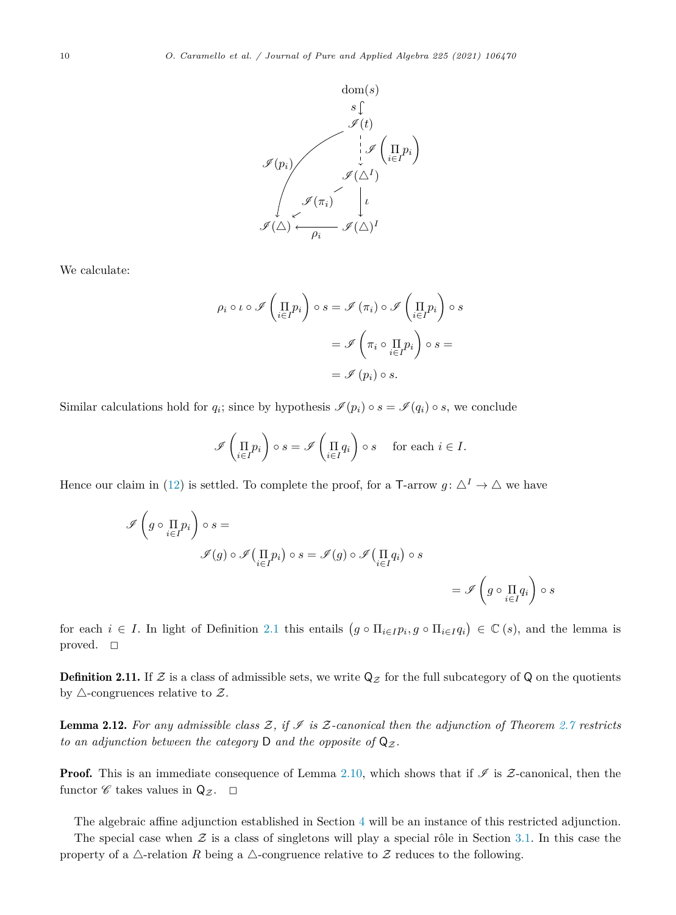<span id="page-9-0"></span>

We calculate:

$$
\rho_i \circ \iota \circ \mathscr{I}\left(\prod_{i \in I} p_i\right) \circ s = \mathscr{I}\left(\pi_i\right) \circ \mathscr{I}\left(\prod_{i \in I} p_i\right) \circ s
$$

$$
= \mathscr{I}\left(\pi_i \circ \prod_{i \in I} p_i\right) \circ s =
$$

$$
= \mathscr{I}\left(p_i\right) \circ s.
$$

Similar calculations hold for  $q_i$ ; since by hypothesis  $\mathscr{I}(p_i) \circ s = \mathscr{I}(q_i) \circ s$ , we conclude

$$
\mathscr{I}\left(\prod_{i\in I}p_i\right)\circ s=\mathscr{I}\left(\prod_{i\in I}q_i\right)\circ s\quad\text{ for each }i\in I.
$$

Hence our claim in ([12\)](#page-8-0) is settled. To complete the proof, for a T-arrow  $g: \Delta^I \to \Delta$  we have

$$
\begin{aligned}\n\mathscr{I}\left(g \circ \prod_{i \in I} p_i\right) \circ s &= \\
\mathscr{I}(g) \circ \mathscr{I}\left(\prod_{i \in I} p_i\right) \circ s &= \mathscr{I}(g) \circ \mathscr{I}\left(\prod_{i \in I} q_i\right) \circ s \\
&= \mathscr{I}\left(g \circ \prod_{i \in I} q_i\right) \circ s\n\end{aligned}
$$

for each  $i \in I$ . In light of Definition [2.1](#page-4-0) this entails  $(g \circ \Pi_{i \in I} p_i, g \circ \Pi_{i \in I} q_i) \in \mathbb{C}$  (*s*), and the lemma is proved.  $\Box$ 

**Definition 2.11.** If  $\mathcal Z$  is a class of admissible sets, we write  $\mathsf Q_{\mathcal Z}$  for the full subcategory of  $\mathsf Q$  on the quotients by  $\triangle$ -congruences relative to  $\mathcal{Z}$ .

**Lemma 2.12.** For any admissible class  $\mathcal{Z}$ , if  $\mathcal{I}$  is  $\mathcal{Z}$ -canonical then the adjunction of Theorem [2.7](#page-7-0) restricts *to* an adjunction between the category D and the opposite of  $Q_{\mathcal{Z}}$ .

**Proof.** This is an immediate consequence of Lemma [2.10](#page-8-0), which shows that if  $\mathscr I$  is  $\mathscr Z$ -canonical, then the functor  $\mathscr C$  takes values in  $Q_{\mathcal Z}$ .  $\Box$ 

The algebraic affine adjunction established in Section [4](#page-14-0) will be an instance of this restricted adjunction.

The special case when  $\mathcal Z$  is a class of singletons will play a special rôle in Section [3.1](#page-11-0). In this case the property of a  $\triangle$ -relation *R* being a  $\triangle$ -congruence relative to Z reduces to the following.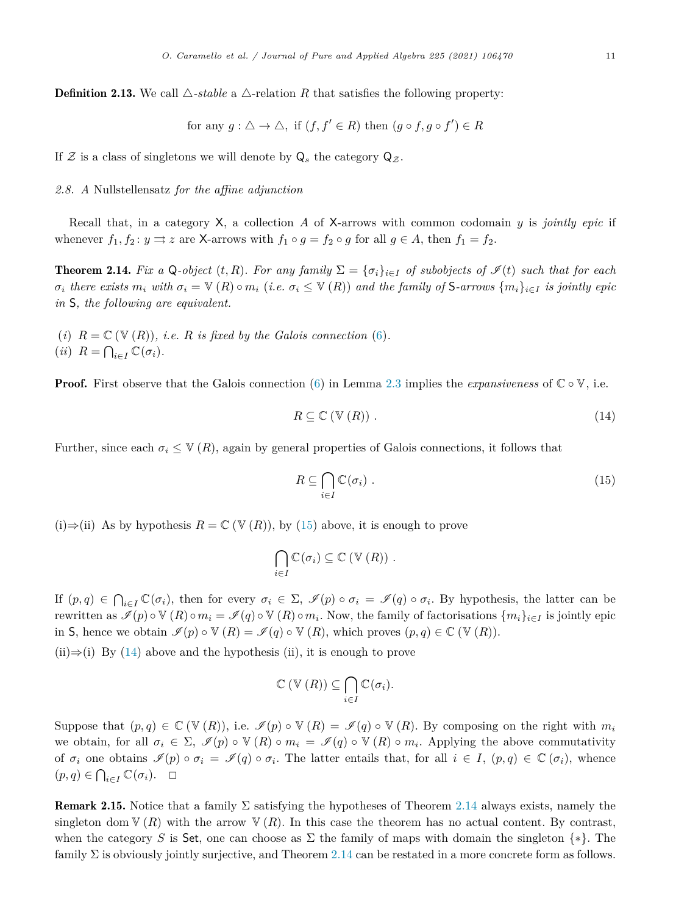<span id="page-10-0"></span>**Definition 2.13.** We call  $\triangle$ -*stable* a  $\triangle$ -relation *R* that satisfies the following property:

for any 
$$
g : \triangle \to \triangle
$$
, if  $(f, f' \in R)$  then  $(g \circ f, g \circ f') \in R$ 

If  $\mathcal Z$  is a class of singletons we will denote by  $Q_s$  the category  $Q_{\mathcal Z}$ .

#### *2.8. A* Nullstellensatz *for the affine adjunction*

Recall that, in a category X, a collection *A* of X-arrows with common codomain *y* is *jointly epic* if whenever  $f_1, f_2: y \rightrightarrows z$  are X-arrows with  $f_1 \circ g = f_2 \circ g$  for all  $g \in A$ , then  $f_1 = f_2$ .

**Theorem 2.14.** Fix a Q-object  $(t, R)$ . For any family  $\Sigma = {\sigma_i}_{i \in I}$  of subobjects of  $\mathcal{I}(t)$  such that for each  $\sigma_i$  there exists  $m_i$  with  $\sigma_i = \mathbb{V}(R) \circ m_i$  (i.e.  $\sigma_i \leq \mathbb{V}(R)$ ) and the family of S-arrows  $\{m_i\}_{i \in I}$  is jointly epic *in* S*, the following are equivalent.*

(*i*)  $R = \mathbb{C}(\mathbb{V}(R))$ , *i.e.*  $R$  *is fixed by the Galois connection* [\(6](#page-5-0)). (*ii*)  $R = \bigcap_{i \in I} \mathbb{C}(\sigma_i)$ .

**Proof.** First observe that the Galois connection [\(6\)](#page-5-0) in Lemma [2.3](#page-5-0) implies the *expansiveness* of  $\mathbb{C} \circ \mathbb{V}$ , i.e.

$$
R \subseteq \mathbb{C} \left( \mathbb{V} \left( R \right) \right). \tag{14}
$$

Further, since each  $\sigma_i \leq V(R)$ , again by general properties of Galois connections, it follows that

$$
R \subseteq \bigcap_{i \in I} \mathbb{C}(\sigma_i) \tag{15}
$$

(i)⇒(ii) As by hypothesis *R* = C (V (*R*)), by (15) above, it is enough to prove

$$
\bigcap_{i\in I}\mathbb{C}(\sigma_i)\subseteq\mathbb{C}(\mathbb{V}(R))\ .
$$

If  $(p,q) \in \bigcap_{i \in I} \mathbb{C}(\sigma_i)$ , then for every  $\sigma_i \in \Sigma$ ,  $\mathscr{I}(p) \circ \sigma_i = \mathscr{I}(q) \circ \sigma_i$ . By hypothesis, the latter can be rewritten as  $\mathscr{I}(p) \circ \mathbb{V}(R) \circ m_i = \mathscr{I}(q) \circ \mathbb{V}(R) \circ m_i$ . Now, the family of factorisations  $\{m_i\}_{i \in I}$  is jointly epic in S, hence we obtain  $\mathscr{I}(p) \circ \mathbb{V}(R) = \mathscr{I}(q) \circ \mathbb{V}(R)$ , which proves  $(p, q) \in \mathbb{C}(\mathbb{V}(R))$ .

(ii) $\Rightarrow$ (i) By (14) above and the hypothesis (ii), it is enough to prove

$$
\mathbb{C}\left(\mathbb{V}\left(R\right)\right)\subseteq\bigcap_{i\in I}\mathbb{C}(\sigma_i).
$$

Suppose that  $(p,q) \in \mathbb{C}(\mathbb{V}(R))$ , i.e.  $\mathscr{I}(p) \circ \mathbb{V}(R) = \mathscr{I}(q) \circ \mathbb{V}(R)$ . By composing on the right with  $m_i$ we obtain, for all  $\sigma_i \in \Sigma$ ,  $\mathscr{I}(p) \circ \mathbb{V}(R) \circ m_i = \mathscr{I}(q) \circ \mathbb{V}(R) \circ m_i$ . Applying the above commutativity of  $\sigma_i$  one obtains  $\mathscr{I}(p) \circ \sigma_i = \mathscr{I}(q) \circ \sigma_i$ . The latter entails that, for all  $i \in I$ ,  $(p,q) \in \mathbb{C}(\sigma_i)$ , whence  $(p, q) \in \bigcap_{i \in I} \mathbb{C}(\sigma_i).$ 

**Remark 2.15.** Notice that a family  $\Sigma$  satisfying the hypotheses of Theorem 2.14 always exists, namely the singleton dom  $V(R)$  with the arrow  $V(R)$ . In this case the theorem has no actual content. By contrast, when the category *S* is Set, one can choose as  $\Sigma$  the family of maps with domain the singleton  $\{*\}$ . The family  $\Sigma$  is obviously jointly surjective, and Theorem 2.14 can be restated in a more concrete form as follows.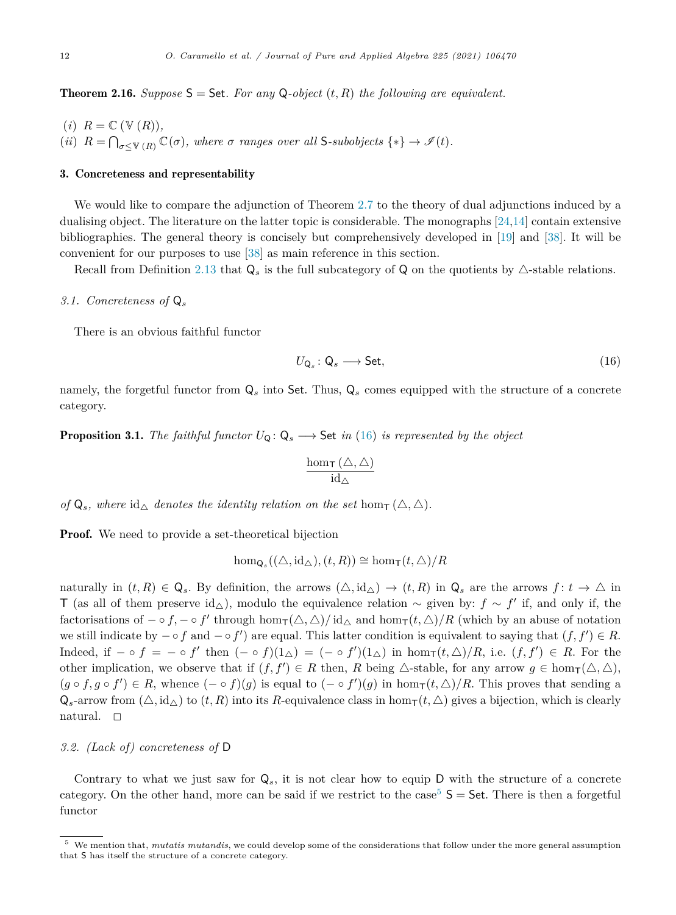<span id="page-11-0"></span>**Theorem 2.16.** *Suppose*  $S =$  Set. For any Q-object  $(t, R)$  the following are equivalent.

- $(i)$   $R = \mathbb{C}$   $(\mathbb{V}(R))$ ,
- (*ii*)  $R = \bigcap_{\sigma \leq V(R)} \mathbb{C}(\sigma)$ , where  $\sigma$  ranges over all S-subobjects  $\{*\} \to \mathscr{I}(t)$ .

#### 3. Concreteness and representability

We would like to compare the adjunction of Theorem [2.7](#page-7-0) to the theory of dual adjunctions induced by a dualising object. The literature on the latter topic is considerable. The monographs [\[24,14\]](#page-32-0) contain extensive bibliographies. The general theory is concisely but comprehensively developed in [\[19\]](#page-32-0) and [\[38\]](#page-32-0). It will be convenient for our purposes to use [\[38\]](#page-32-0) as main reference in this section.

Recall from Definition [2.13](#page-10-0) that  $Q_s$  is the full subcategory of  $Q$  on the quotients by  $\triangle$ -stable relations.

#### *3.1. Concreteness of* Q*<sup>s</sup>*

There is an obvious faithful functor

$$
U_{\mathsf{Q}_s} : \mathsf{Q}_s \longrightarrow \mathsf{Set},\tag{16}
$$

namely, the forgetful functor from  $Q_s$  into Set. Thus,  $Q_s$  comes equipped with the structure of a concrete category.

**Proposition 3.1.** *The faithful functor*  $U_Q: Q_s \longrightarrow$  Set *in* (16) *is represented by the object* 

$$
\frac{\hom_{\mathsf{T}}(\triangle,\triangle)}{\mathrm{id}_{\triangle}}
$$

 $\alpha f \mathbf{Q}_s$ *, where*  $\mathrm{id}_{\wedge}$  *denotes the identity relation on the set* hom<sub>T</sub> ( $\triangle$ ,  $\triangle$ )*.* 

**Proof.** We need to provide a set-theoretical bijection

$$
\hom_{\mathsf{Q}_s}((\triangle, \mathrm{id}_{\triangle}), (t, R)) \cong \hom_{\mathsf{T}}(t, \triangle)/R
$$

naturally in  $(t, R) \in \mathbb{Q}_s$ . By definition, the arrows  $(\triangle, id_\triangle) \to (t, R)$  in  $\mathbb{Q}_s$  are the arrows  $f: t \to \triangle$  in T (as all of them preserve id<sub>△</sub>), modulo the equivalence relation  $\sim$  given by:  $f \sim f'$  if, and only if, the factorisations of  $-\circ f, -\circ f'$  through hom<sub>T</sub>( $\triangle$ ,  $\triangle$ )/ $\mathrm{id}_{\triangle}$  and hom<sub>T</sub>( $t, \triangle$ )/R (which by an abuse of notation we still indicate by  $-\circ f$  and  $-\circ f'$ ) are equal. This latter condition is equivalent to saying that  $(f, f') \in R$ . Indeed, if  $-\circ f = -\circ f'$  then  $(- \circ f)(1_{\triangle}) = (- \circ f')(1_{\triangle})$  in  $\hom_{\mathsf{T}}(t, \triangle)/R$ , i.e.  $(f, f') \in R$ . For the other implication, we observe that if  $(f, f') \in R$  then,  $R$  being  $\triangle$ -stable, for any arrow  $g \in \text{hom}_{\mathsf{T}}(\triangle, \triangle)$ ,  $(g \circ f, g \circ f') \in R$ , whence  $(- \circ f)(g)$  is equal to  $(- \circ f')(g)$  in  $hom_T(t, \triangle)/R$ . This proves that sending a  $Q_s$ -arrow from  $(\triangle, id_\triangle)$  to  $(t, R)$  into its *R*-equivalence class in hom<sub>T</sub> $(t, \triangle)$  gives a bijection, which is clearly natural.  $\Box$ 

# *3.2. (Lack of) concreteness of* D

Contrary to what we just saw for  $Q_s$ , it is not clear how to equip D with the structure of a concrete category. On the other hand, more can be said if we restrict to the case<sup>5</sup>  $S =$  Set. There is then a forgetful functor

<sup>5</sup> We mention that, *mutatis mutandis*, we could develop some of the considerations that follow under the more general assumption that S has itself the structure of a concrete category.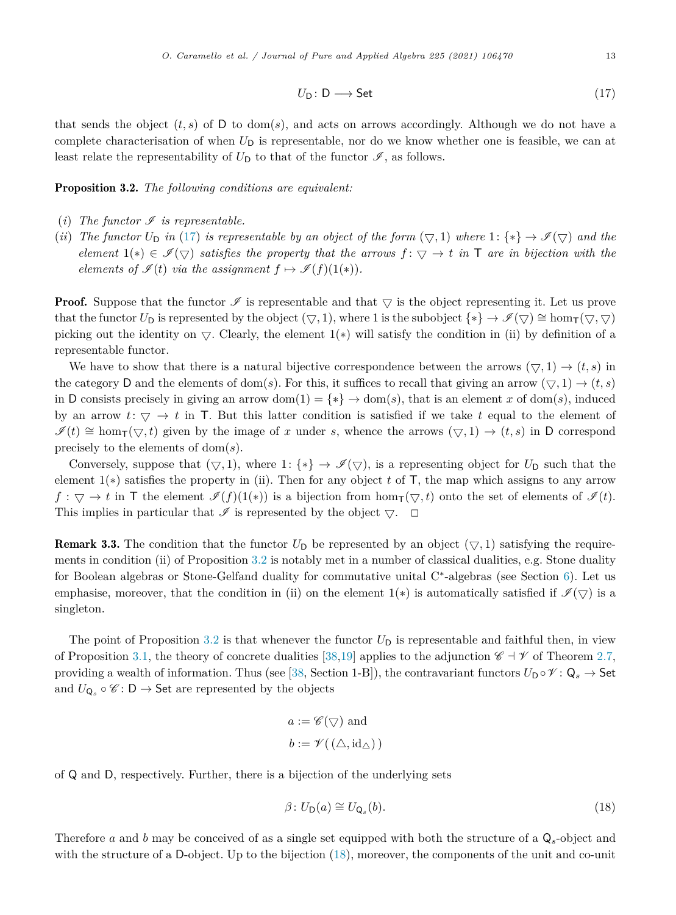$$
U_{\mathsf{D}} : \mathsf{D} \longrightarrow \mathsf{Set} \tag{17}
$$

<span id="page-12-0"></span>that sends the object  $(t, s)$  of D to dom( $s$ ), and acts on arrows accordingly. Although we do not have a complete characterisation of when  $U_D$  is representable, nor do we know whether one is feasible, we can at least relate the representability of  $U_D$  to that of the functor  $\mathscr{I}$ , as follows.

Proposition 3.2. *The following conditions are equivalent:*

- (*i*) The functor  $\mathcal{I}$  is representable.
- (*ii*) The functor  $U_D$  in (17) is representable by an object of the form  $(\nabla, 1)$  where  $1: \{*\} \to \mathcal{I}(\nabla)$  and the *element*  $1(*) \in \mathcal{I}(\nabla)$  *satisfies* the property that the arrows  $f: \nabla \to t$  in T are in bijection with the *elements of*  $\mathcal{I}(t)$  *via the assignment*  $f \mapsto \mathcal{I}(f)(1(*)).$

**Proof.** Suppose that the functor  $\mathcal{I}$  is representable and that  $\overline{\vee}$  is the object representing it. Let us prove that the functor  $U_D$  is represented by the object  $(\nabla, 1)$ , where 1 is the subobject  $\{*\} \to \mathscr{I}(\nabla) \cong \hom_{\mathsf{T}}(\nabla, \nabla)$ picking out the identity on  $\bigtriangledown$ . Clearly, the element  $1(*)$  will satisfy the condition in (ii) by definition of a representable functor.

We have to show that there is a natural bijective correspondence between the arrows  $(\nabla, 1) \rightarrow (t, s)$  in the category D and the elements of dom(s). For this, it suffices to recall that giving an arrow  $(\nabla, 1) \rightarrow (t, s)$ in D consists precisely in giving an arrow dom(1) =  $\{*\} \rightarrow \text{dom}(s)$ , that is an element *x* of dom(*s*), induced by an arrow  $t: \nabla \to t$  in T. But this latter condition is satisfied if we take t equal to the element of  $\mathscr{I}(t) \cong \text{hom}_{\mathsf{T}}(\nabla, t)$  given by the image of *x* under *s*, whence the arrows  $(\nabla, 1) \to (t, s)$  in D correspond precisely to the elements of dom(*s*).

Conversely, suppose that  $(\nabla, 1)$ , where  $1: \{*\} \to \mathscr{I}(\nabla)$ , is a representing object for  $U_D$  such that the element 1(∗) satisfies the property in (ii). Then for any object *t* of T, the map which assigns to any arrow  $f: \nabla \to t$  in T the element  $\mathscr{I}(f)(1(*))$  is a bijection from hom $_{\mathsf{T}}(\nabla, t)$  onto the set of elements of  $\mathscr{I}(t)$ . This implies in particular that  $\mathscr I$  is represented by the object  $\bigtriangledown$ .  $\Box$ 

**Remark 3.3.** The condition that the functor  $U_D$  be represented by an object  $(\nabla, 1)$  satisfying the requirements in condition (ii) of Proposition 3.2 is notably met in a number of classical dualities, e.g. Stone duality for Boolean algebras or Stone-Gelfand duality for commutative unital C∗-algebras (see Section [6\)](#page-26-0). Let us emphasise, moreover, that the condition in (ii) on the element  $1(*)$  is automatically satisfied if  $\mathcal{I}(\nabla)$  is a singleton.

The point of Proposition 3.2 is that whenever the functor  $U_D$  is representable and faithful then, in view of Proposition [3.1](#page-11-0), the theory of concrete dualities [[38,19\]](#page-32-0) applies to the adjunction  $\mathscr{C} \dashv \mathscr{V}$  of Theorem [2.7](#page-7-0), providing a wealth of information. Thus (see [[38,](#page-32-0) Section 1-B]), the contravariant functors  $U_D \circ \mathscr{V} \colon \mathsf{Q}_s \to \mathsf{Set}$ and  $U_{\mathbf{Q}_s} \circ \mathscr{C} : \mathbf{D} \to \mathsf{Set}$  are represented by the objects

$$
a := \mathscr{C}(\nabla) \text{ and}
$$

$$
b := \mathscr{V}((\triangle, id_{\triangle}))
$$

of Q and D, respectively. Further, there is a bijection of the underlying sets

$$
\beta \colon U_{\mathsf{D}}(a) \cong U_{\mathsf{Q}_s}(b). \tag{18}
$$

Therefore *a* and *b* may be conceived of as a single set equipped with both the structure of a Q*s*-object and with the structure of a D-object. Up to the bijection (18), moreover, the components of the unit and co-unit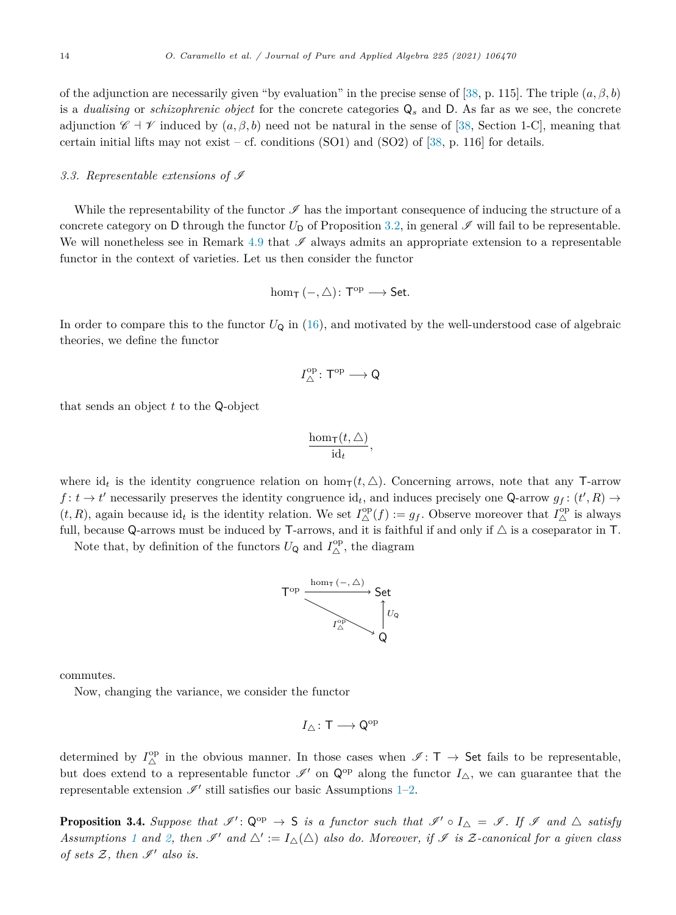<span id="page-13-0"></span>of the adjunction are necessarily given "by evaluation" in the precise sense of [[38,](#page-32-0) p. 115]. The triple  $(a, \beta, b)$ is a *dualising* or *schizophrenic object* for the concrete categories Q*<sup>s</sup>* and D. As far as we see, the concrete adjunction  $\mathscr{C} \dashv \mathscr{V}$  induced by  $(a, \beta, b)$  need not be natural in the sense of [\[38,](#page-32-0) Section 1-C], meaning that certain initial lifts may not exist – cf. conditions  $(SO1)$  and  $(SO2)$  of [\[38,](#page-32-0) p. 116] for details.

#### 3.3. Representable extensions of  $\mathscr I$

While the representability of the functor  $\mathscr I$  has the important consequence of inducing the structure of a concrete category on D through the functor  $U_D$  of Proposition [3.2,](#page-12-0) in general  $\mathscr I$  will fail to be representable. We will nonetheless see in Remark [4.9](#page-19-0) that  $\mathscr I$  always admits an appropriate extension to a representable functor in the context of varieties. Let us then consider the functor

$$
\hom_{\mathsf{T}}\left(-,\triangle\right)\colon \mathsf{T}^\mathrm{op}\longrightarrow \mathsf{Set}.
$$

In order to compare this to the functor  $U_Q$  in [\(16\)](#page-11-0), and motivated by the well-understood case of algebraic theories, we define the functor

$$
I_{\triangle}^{\mathrm{op}}\colon \mathsf{T}^{\mathrm{op}}\longrightarrow \mathsf{Q}
$$

that sends an object *t* to the Q-object

$$
\frac{\hom_{\mathsf{T}}(t,\triangle)}{\mathrm{id}_t},
$$

where id<sub>t</sub> is the identity congruence relation on  $\hom_{\mathsf{T}}(t, \triangle)$ . Concerning arrows, note that any T-arrow  $f: t \to t'$  necessarily preserves the identity congruence  $id_t$ , and induces precisely one Q-arrow  $g_f: (t', R) \to$  $(t, R)$ , again because  $id_t$  is the identity relation. We set  $I^{\text{op}}_{\Delta}(f) := g_f$ . Observe moreover that  $I^{\text{op}}_{\Delta}$  is always full, because Q-arrows must be induced by T-arrows, and it is faithful if and only if  $\triangle$  is a coseparator in T.

Note that, by definition of the functors  $U_{\mathsf{Q}}$  and  $I^{\mathrm{op}}_{\triangle}$ , the diagram



commutes.

Now, changing the variance, we consider the functor

$$
I_\triangle\colon \mathsf{T}\longrightarrow \mathsf{Q}^{\mathrm{op}}
$$

determined by  $I_{\Delta}^{\text{op}}$  in the obvious manner. In those cases when  $\mathscr{I}: \mathsf{T} \to \mathsf{Set}$  fails to be representable, but does extend to a representable functor  $\mathscr{I}'$  on  $\mathsf{Q}^{\mathrm{op}}$  along the functor  $I_{\Delta}$ , we can guarantee that the representable extension  $\mathscr{I}'$  still satisfies our basic Assumptions [1–](#page-4-0)[2.](#page-7-0)

**Proposition 3.4.** Suppose that  $\mathscr{I}' : Q^{op} \to S$  is a functor such that  $\mathscr{I}' \circ I_{\Delta} = \mathscr{I}$ . If  $\mathscr{I}$  and  $\Delta$  satisfy *Assumptions* [1](#page-4-0) and [2,](#page-7-0) then  $\mathscr{I}'$  and  $\triangle' := I_{\triangle}(\triangle)$  also do. Moreover, if  $\mathscr{I}$  is Z-canonical for a given class *of sets*  $Z$ *, then*  $\mathscr{I}'$  *also is.*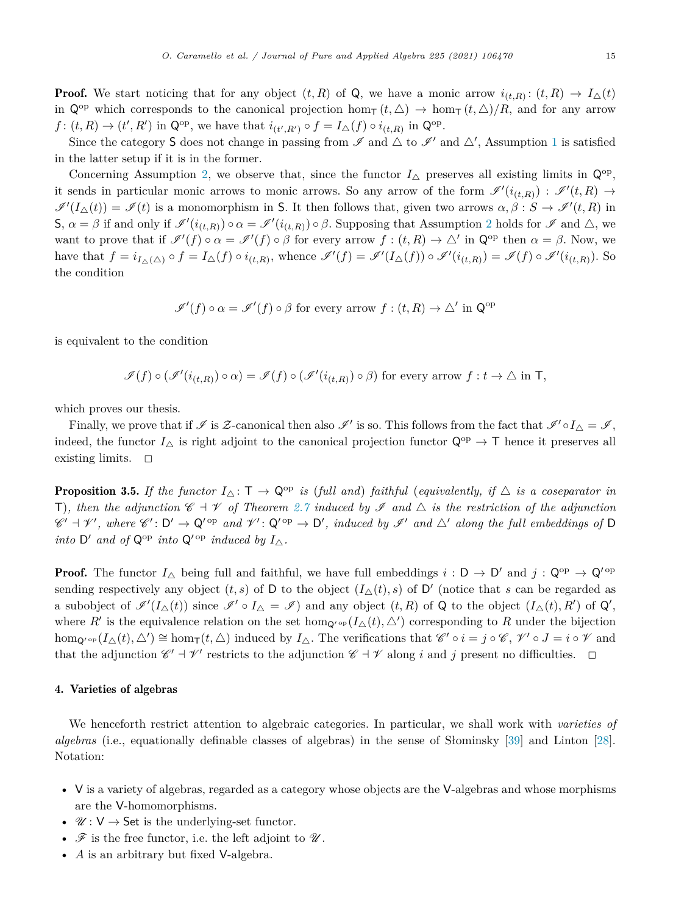<span id="page-14-0"></span>**Proof.** We start noticing that for any object  $(t, R)$  of Q, we have a monic arrow  $i_{(t,R)}$ :  $(t, R) \rightarrow I_{\Delta}(t)$ in  $Q^{op}$  which corresponds to the canonical projection  $\hom_{\mathsf{T}}(t,\Delta) \to \hom_{\mathsf{T}}(t,\Delta)/R$ , and for any arrow *f* :  $(t, R) \to (t', R')$  in Q<sup>op</sup>, we have that  $i_{(t', R')} \circ f = I_{\Delta}(f) \circ i_{(t, R)}$  in Q<sup>op</sup>.

Since the category S does not change in passing from  $\mathscr I$  and  $\triangle$  to  $\mathscr I'$  and  $\triangle'$ , Assumption [1](#page-4-0) is satisfied in the latter setup if it is in the former.

Concerning Assumption [2](#page-7-0), we observe that, since the functor  $I_{\Delta}$  preserves all existing limits in  $\mathsf{Q}^{\mathrm{op}}$ , it sends in particular monic arrows to monic arrows. So any arrow of the form  $\mathscr{I}'(i_{(t,R)})$  :  $\mathscr{I}'(t,R)$   $\to$  $\mathscr{I}'(I_{\Delta}(t)) = \mathscr{I}(t)$  is a monomorphism in S. It then follows that, given two arrows  $\alpha, \beta : S \to \mathscr{I}'(t, R)$  in  $\mathsf{S}, \alpha = \beta$  if and only if  $\mathscr{I}'(i_{(t,R)}) \circ \alpha = \mathscr{I}'(i_{(t,R)}) \circ \beta$ . Supposing that Assumption [2](#page-7-0) holds for  $\mathscr{I}$  and  $\triangle$ , we want to prove that if  $\mathscr{I}'(f) \circ \alpha = \mathscr{I}'(f) \circ \beta$  for every arrow  $f : (t, R) \to \triangle'$  in  $\mathbb{Q}^{\text{op}}$  then  $\alpha = \beta$ . Now, we have that  $f = i_{I_{\Delta}(\Delta)} \circ f = I_{\Delta}(f) \circ i_{(t,R)}$ , whence  $\mathscr{I}'(f) = \mathscr{I}'(I_{\Delta}(f)) \circ \mathscr{I}'(i_{(t,R)}) = \mathscr{I}(f) \circ \mathscr{I}'(i_{(t,R)})$ . So the condition

$$
\mathscr{I}'(f) \circ \alpha = \mathscr{I}'(f) \circ \beta
$$
 for every arrow  $f : (t, R) \to \triangle'$  in  $\mathbb{Q}^{\text{op}}$ 

is equivalent to the condition

$$
\mathcal{I}(f) \circ (\mathcal{I}'(i_{(t,R)}) \circ \alpha) = \mathcal{I}(f) \circ (\mathcal{I}'(i_{(t,R)}) \circ \beta)
$$
 for every arrow  $f: t \to \triangle$  in T,

which proves our thesis.

Finally, we prove that if  $\mathscr I$  is  $\mathcal Z$ -canonical then also  $\mathscr I'$  is so. This follows from the fact that  $\mathscr I' \circ I \wedge = \mathscr I$ , indeed, the functor  $I_{\Delta}$  is right adjoint to the canonical projection functor  $\mathsf{Q}^{\text{op}} \to \mathsf{T}$  hence it preserves all existing limits.  $\Box$ 

**Proposition 3.5.** If the functor  $I_{\Delta} : \mathsf{T} \to \mathsf{Q}^{\text{op}}$  is (full and) faithful (equivalently, if  $\Delta$  is a coseparator in T), then the adjunction  $\mathscr{C} + \mathscr{V}$  of Theorem [2.7](#page-7-0) induced by I and  $\triangle$  is the restriction of the adjunction  $\mathscr{C}' + \mathscr{V}'$ , where  $\mathscr{C}' : D' \to Q'$  op and  $\mathscr{V}' : Q'$  op  $\to D'$ , induced by  $\mathscr{I}'$  and  $\triangle'$  along the full embeddings of D *into*  $D'$  *and of*  $Q^{op}$  *into*  $Q'^{op}$  *induced by*  $I_{\wedge}$ *.* 

**Proof.** The functor  $I_{\Delta}$  being full and faithful, we have full embeddings  $i : D \to D'$  and  $j : Q^{op} \to Q'^{op}$ sending respectively any object  $(t, s)$  of D to the object  $(I_{\Delta}(t), s)$  of D' (notice that *s* can be regarded as a subobject of  $\mathscr{I}'(I_{\Delta}(t))$  since  $\mathscr{I}' \circ I_{\Delta} = \mathscr{I}$  and any object  $(t, R)$  of Q to the object  $(I_{\Delta}(t), R')$  of Q', where  $R'$  is the equivalence relation on the set hom<sub>Q'</sub> o<sub>p</sub> ( $I_{\Delta}(t), \Delta'$ ) corresponding to R under the bijection  $hom_{\mathbf{Q}^{\prime}} \circ_{\mathbf{P}} (I_{\Delta}(t), \Delta^{\prime}) \cong hom_{\mathbf{T}}(t, \Delta)$  induced by  $I_{\Delta}$ . The verifications that  $\mathscr{C}^{\prime} \circ i = j \circ \mathscr{C}, \mathscr{V}^{\prime} \circ J = i \circ \mathscr{V}$  and that the adjunction  $\mathscr{C}' \dashv \mathscr{V}'$  restricts to the adjunction  $\mathscr{C} \dashv \mathscr{V}$  along *i* and *j* present no difficulties.  $\Box$ 

#### 4. Varieties of algebras

We henceforth restrict attention to algebraic categories. In particular, we shall work with *varieties of algebras* (i.e., equationally definable classes of algebras) in the sense of Słominsky [[39\]](#page-32-0) and Linton [\[28\]](#page-32-0). Notation:

- V is a variety of algebras, regarded as a category whose objects are the V-algebras and whose morphisms are the V-homomorphisms.
- $\mathscr{U}: V \to \mathsf{Set}$  is the underlying-set functor.
- $\mathscr F$  is the free functor, i.e. the left adjoint to  $\mathscr U$ .
- *A* is an arbitrary but fixed V-algebra.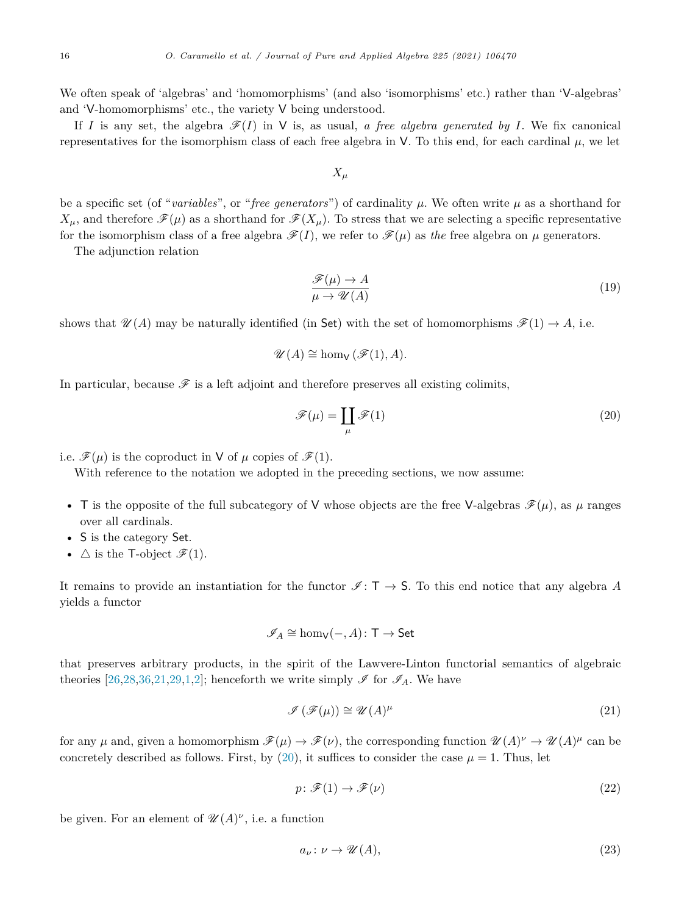<span id="page-15-0"></span>We often speak of 'algebras' and 'homomorphisms' (and also 'isomorphisms' etc.) rather than 'V-algebras' and 'V-homomorphisms' etc., the variety V being understood.

If *I* is any set, the algebra  $\mathcal{F}(I)$  in V is, as usual, *a free algebra generated by I*. We fix canonical representatives for the isomorphism class of each free algebra in V. To this end, for each cardinal *μ*, we let

*X<sup>μ</sup>*

be a specific set (of "*variables*", or "*free generators*") of cardinality *μ*. We often write *μ* as a shorthand for  $X_{\mu}$ , and therefore  $\mathscr{F}(\mu)$  as a shorthand for  $\mathscr{F}(X_{\mu})$ . To stress that we are selecting a specific representative for the isomorphism class of a free algebra  $\mathscr{F}(I)$ , we refer to  $\mathscr{F}(\mu)$  as the free algebra on  $\mu$  generators.

The adjunction relation

$$
\frac{\mathcal{F}(\mu) \to A}{\mu \to \mathcal{U}(A)}\tag{19}
$$

shows that  $\mathcal{U}(A)$  may be naturally identified (in Set) with the set of homomorphisms  $\mathcal{F}(1) \to A$ , i.e.

$$
\mathscr{U}(A) \cong \hom_{\mathsf{V}}(\mathscr{F}(1), A).
$$

In particular, because  $\mathscr F$  is a left adjoint and therefore preserves all existing colimits,

$$
\mathcal{F}(\mu) = \coprod_{\mu} \mathcal{F}(1) \tag{20}
$$

i.e.  $\mathscr{F}(\mu)$  is the coproduct in V of  $\mu$  copies of  $\mathscr{F}(1)$ .

With reference to the notation we adopted in the preceding sections, we now assume:

- T is the opposite of the full subcategory of V whose objects are the free V-algebras  $\mathscr{F}(\mu)$ , as  $\mu$  ranges over all cardinals.
- S is the category Set.
- $\Delta$  is the T-object  $\mathscr{F}(1)$ .

It remains to provide an instantiation for the functor  $\mathscr{I} : T \to S$ . To this end notice that any algebra *A* yields a functor

$$
\mathscr{I}_A \cong \hom_\mathsf{V}(-, A) \colon \mathsf{T} \to \mathsf{Set}
$$

that preserves arbitrary products, in the spirit of the Lawvere-Linton functorial semantics of algebraic theories [\[26,28](#page-32-0),[36,21,29](#page-32-0)[,1](#page-31-0),[2\]](#page-31-0); henceforth we write simply  $\mathscr I$  for  $\mathscr I_A$ . We have

$$
\mathcal{I}(\mathcal{F}(\mu)) \cong \mathcal{U}(A)^{\mu} \tag{21}
$$

for any *μ* and, given a homomorphism  $\mathscr{F}(\mu) \to \mathscr{F}(\nu)$ , the corresponding function  $\mathscr{U}(A)^{\nu} \to \mathscr{U}(A)^{\mu}$  can be concretely described as follows. First, by  $(20)$ , it suffices to consider the case  $\mu = 1$ . Thus, let

$$
p: \mathscr{F}(1) \to \mathscr{F}(\nu) \tag{22}
$$

be given. For an element of  $\mathscr{U}(A)^{\nu}$ , i.e. a function

$$
a_{\nu} \colon \nu \to \mathscr{U}(A),\tag{23}
$$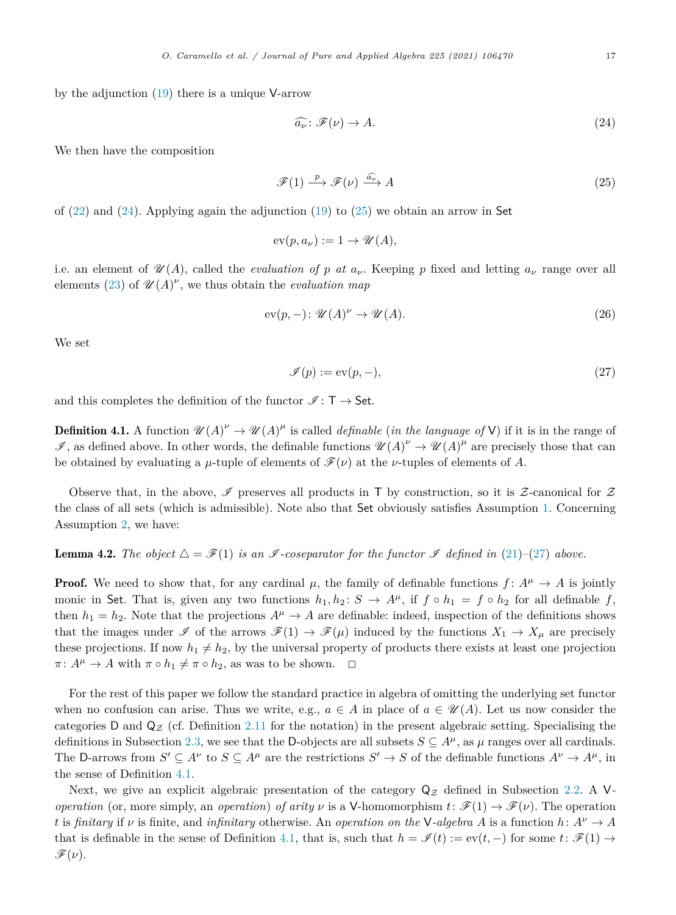<span id="page-16-0"></span>by the adjunction ([19\)](#page-15-0) there is a unique V-arrow

$$
\widehat{a_{\nu}} \colon \mathcal{F}(\nu) \to A. \tag{24}
$$

We then have the composition

$$
\mathcal{F}(1) \xrightarrow{p} \mathcal{F}(\nu) \xrightarrow{\widehat{a_{\nu}}} A \tag{25}
$$

of  $(22)$  $(22)$  and  $(24)$ . Applying again the adjunction  $(19)$  to  $(25)$  we obtain an arrow in Set

 $ev(p, a_\nu) := 1 \rightarrow \mathcal{U}(A)$ ,

i.e. an element of  $\mathcal{U}(A)$ , called the *evaluation* of p at  $a_{\nu}$ . Keeping p fixed and letting  $a_{\nu}$  range over all elements ([23\)](#page-15-0) of  $\mathscr{U}(A)^{\nu}$ , we thus obtain the *evaluation* map

$$
ev(p,-): \mathcal{U}(A)^{\nu} \to \mathcal{U}(A). \tag{26}
$$

We set

$$
\mathcal{I}(p) := \text{ev}(p, -),\tag{27}
$$

and this completes the definition of the functor  $\mathscr{I} : \mathsf{T} \to \mathsf{Set}$ .

**Definition 4.1.** A function  $\mathcal{U}(A)^{\nu} \to \mathcal{U}(A)^{\mu}$  is called *definable* (*in the language of* V) if it is in the range of  $\mathscr{I}$ , as defined above. In other words, the definable functions  $\mathscr{U}(A)^{\nu} \to \mathscr{U}(A)^{\mu}$  are precisely those that can be obtained by evaluating a *μ*-tuple of elements of  $\mathcal{F}(\nu)$  at the *ν*-tuples of elements of *A*.

Observe that, in the above,  $\mathscr I$  preserves all products in T by construction, so it is  $\mathscr Z$ -canonical for  $\mathscr Z$ the class of all sets (which is admissible). Note also that Set obviously satisfies Assumption [1](#page-4-0). Concerning Assumption [2](#page-7-0), we have:

**Lemma 4.2.** The object  $\Delta = \mathscr{F}(1)$  is an  $\mathscr{I}$ -coseparator for the functor  $\mathscr{I}$  defined in ([21\)](#page-15-0)–(27) above.

**Proof.** We need to show that, for any cardinal  $\mu$ , the family of definable functions  $f: A^{\mu} \to A$  is jointly monic in Set. That is, given any two functions  $h_1, h_2 \colon S \to A^\mu$ , if  $f \circ h_1 = f \circ h_2$  for all definable  $f$ , then  $h_1 = h_2$ . Note that the projections  $A^{\mu} \to A$  are definable: indeed, inspection of the definitions shows that the images under  $\mathscr{I}$  of the arrows  $\mathscr{F}(1) \to \mathscr{F}(\mu)$  induced by the functions  $X_1 \to X_\mu$  are precisely these projections. If now  $h_1 \neq h_2$ , by the universal property of products there exists at least one projection  $\pi: A^{\mu} \to A$  with  $\pi \circ h_1 \neq \pi \circ h_2$ , as was to be shown.  $\Box$ 

For the rest of this paper we follow the standard practice in algebra of omitting the underlying set functor when no confusion can arise. Thus we write, e.g.,  $a \in A$  in place of  $a \in \mathcal{U}(A)$ . Let us now consider the categories D and  $Q_z$  (cf. Definition [2.11](#page-9-0) for the notation) in the present algebraic setting. Specialising the definitions in Subsection [2.3,](#page-6-0) we see that the D-objects are all subsets  $S \subseteq A^{\mu}$ , as  $\mu$  ranges over all cardinals. The D-arrows from  $S' \subseteq A^{\nu}$  to  $S \subseteq A^{\mu}$  are the restrictions  $S' \to S$  of the definable functions  $A^{\nu} \to A^{\mu}$ , in the sense of Definition 4.1.

Next, we give an explicit algebraic presentation of the category  $Q_Z$  defined in Subsection [2.2](#page-5-0). A V*operation* (or, more simply, an *operation*) *of arity*  $\nu$  is a V-homomorphism  $t: \mathscr{F}(1) \to \mathscr{F}(\nu)$ . The operation *t* is *finitary* if *v* is finite, and *infinitary* otherwise. An *operation on* the V-algebra *A* is a function  $h: A^{\nu} \to A$ that is definable in the sense of Definition 4.1, that is, such that  $h = \mathscr{I}(t) := \text{ev}(t, -)$  for some  $t: \mathscr{F}(1) \rightarrow$  $\mathscr{F}(\nu)$ .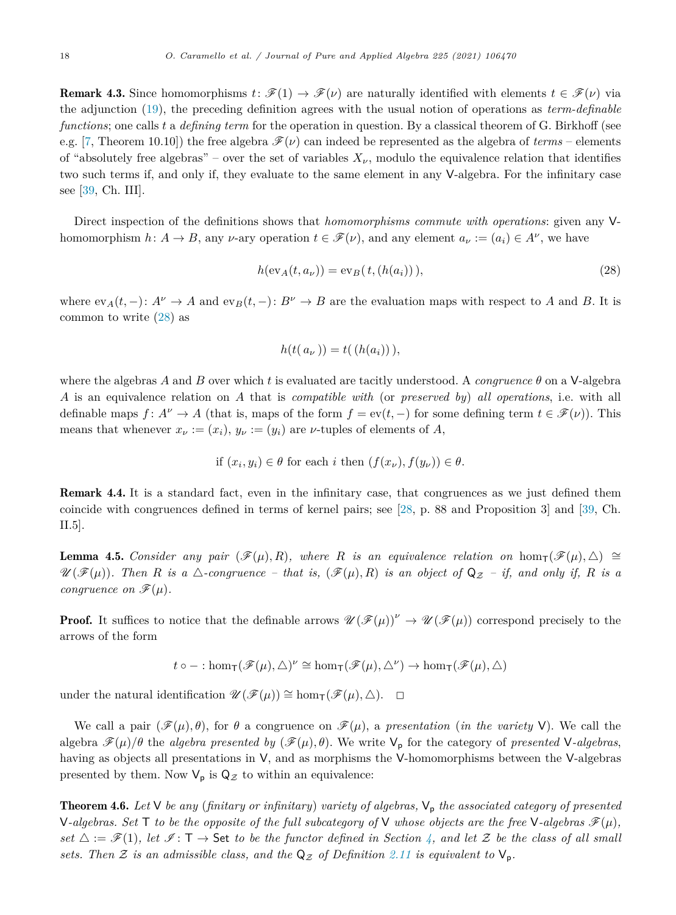<span id="page-17-0"></span>**Remark 4.3.** Since homomorphisms  $t: \mathscr{F}(1) \to \mathscr{F}(\nu)$  are naturally identified with elements  $t \in \mathscr{F}(\nu)$  via the adjunction [\(19](#page-15-0)), the preceding definition agrees with the usual notion of operations as *term-definable functions*; one calls *t* a *defining term* for the operation in question. By a classical theorem of G. Birkhoff (see e.g. [[7,](#page-31-0) Theorem 10.10]) the free algebra  $\mathcal{F}(\nu)$  can indeed be represented as the algebra of *terms* – elements of "absolutely free algebras" – over the set of variables  $X_{\nu}$ , modulo the equivalence relation that identifies two such terms if, and only if, they evaluate to the same element in any V-algebra. For the infinitary case see [\[39](#page-32-0), Ch. III].

Direct inspection of the definitions shows that *homomorphisms commute with operations*: given any Vhomomorphism  $h: A \to B$ , any *v*-ary operation  $t \in \mathcal{F}(\nu)$ , and any element  $a_{\nu} := (a_i) \in A^{\nu}$ , we have

$$
h(\text{ev}_A(t, a_\nu)) = \text{ev}_B(t, (h(a_i))), \qquad (28)
$$

where  $ev_A(t, -)$ :  $A^{\nu} \to A$  and  $ev_B(t, -)$ :  $B^{\nu} \to B$  are the evaluation maps with respect to *A* and *B*. It is common to write (28) as

$$
h(t(a_{\nu}))=t((h(a_i))),
$$

where the algebras *A* and *B* over which *t* is evaluated are tacitly understood. A *congruence*  $\theta$  on a V-algebra *A* is an equivalence relation on *A* that is *compatible with* (or *preserved by*) *all operations*, i.e. with all definable maps  $f: A^{\nu} \to A$  (that is, maps of the form  $f = ev(t, -)$  for some defining term  $t \in \mathcal{F}(\nu)$ ). This means that whenever  $x_{\nu} := (x_i)$ ,  $y_{\nu} := (y_i)$  are  $\nu$ -tuples of elements of A,

if 
$$
(x_i, y_i) \in \theta
$$
 for each *i* then  $(f(x_{\nu}), f(y_{\nu})) \in \theta$ .

Remark 4.4. It is a standard fact, even in the infinitary case, that congruences as we just defined them coincide with congruences defined in terms of kernel pairs; see [\[28](#page-32-0), p. 88 and Proposition 3] and [\[39](#page-32-0), Ch. II.5].

**Lemma 4.5.** *Consider any pair* ( $\mathscr{F}(\mu), R$ ), where R is an equivalence relation on  $hom_{\mathsf{T}}(\mathscr{F}(\mu), \triangle) \cong$  $\mathscr{U}(\mathscr{F}(\mu))$ . Then R is a  $\triangle$ -congruence – that is,  $(\mathscr{F}(\mu), R)$  is an object of  $Q_Z - if$ , and only if, R is a *congruence on*  $\mathscr{F}(\mu)$ *.* 

**Proof.** It suffices to notice that the definable arrows  $\mathscr{U}(\mathscr{F}(\mu))^{\nu} \to \mathscr{U}(\mathscr{F}(\mu))$  correspond precisely to the arrows of the form

$$
t\circ-:\textup{hom}_{\mathsf{T}}(\mathscr{F}(\mu),\triangle)^\nu\cong\textup{hom}_{\mathsf{T}}(\mathscr{F}(\mu),\triangle^\nu)\to\textup{hom}_{\mathsf{T}}(\mathscr{F}(\mu),\triangle)
$$

under the natural identification  $\mathscr{U}(\mathscr{F}(\mu)) \cong \hom_{\mathsf{T}}(\mathscr{F}(\mu), \triangle)$ .  $\Box$ 

We call a pair  $(\mathcal{F}(\mu), \theta)$ , for  $\theta$  a congruence on  $\mathcal{F}(\mu)$ , a *presentation* (*in the variety* V). We call the algebra  $\mathcal{F}(\mu)/\theta$  the *algebra* presented by  $(\mathcal{F}(\mu), \theta)$ . We write  $V_p$  for the category of presented V-algebras, having as objects all presentations in V, and as morphisms the V-homomorphisms between the V-algebras presented by them. Now  $V_p$  is  $Q_Z$  to within an equivalence:

**Theorem 4.6.** Let  $V$  be any (finitary or infinitary) variety of algebras,  $V_p$  the associated category of presented V-algebras. Set T to be the opposite of the full subcategory of V whose objects are the free V-algebras  $\mathscr{F}(\mu)$ , set  $\triangle := \mathscr{F}(1)$ , let  $\mathscr{F} \colon \mathsf{T} \to \mathsf{Set}$  to be the functor defined in Section [4](#page-14-0), and let  $\mathcal Z$  be the class of all small *sets.* Then Z *is* an admissible class, and the  $Q_z$  of Definition [2.11](#page-9-0) is equivalent to  $V_p$ .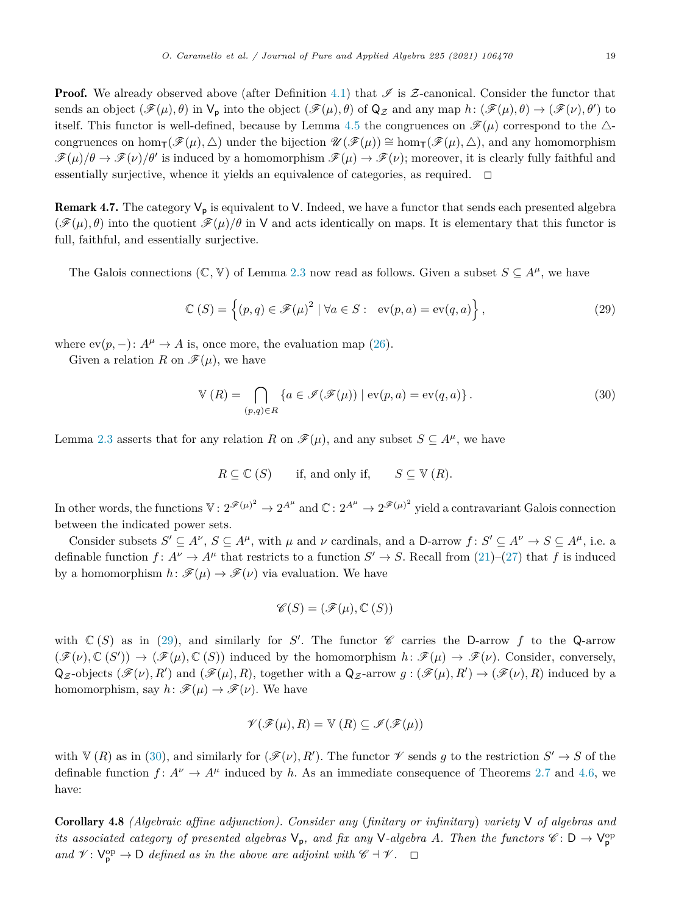<span id="page-18-0"></span>**Proof.** We already observed above (after Definition [4.1](#page-16-0)) that  $\mathscr I$  is Z-canonical. Consider the functor that sends an object  $(\mathscr{F}(\mu), \theta)$  in  $\mathsf{V}_{\mathsf{p}}$  into the object  $(\mathscr{F}(\mu), \theta)$  of  $\mathsf{Q}_{\mathcal{Z}}$  and any map  $h: (\mathscr{F}(\mu), \theta) \to (\mathscr{F}(\nu), \theta')$  to itself. This functor is well-defined, because by Lemma [4.5](#page-17-0) the congruences on  $\mathscr{F}(\mu)$  correspond to the  $\Delta$ congruences on hom $\tau(\mathscr{F}(\mu), \triangle)$  under the bijection  $\mathscr{U}(\mathscr{F}(\mu)) \cong \hom_{\tau}(\mathscr{F}(\mu), \triangle)$ , and any homomorphism  $\mathscr{F}(\mu)/\theta \to \mathscr{F}(\nu)/\theta'$  is induced by a homomorphism  $\mathscr{F}(\mu) \to \mathscr{F}(\nu)$ ; moreover, it is clearly fully faithful and essentially surjective, whence it yields an equivalence of categories, as required.  $\Box$ 

**Remark 4.7.** The category  $V_p$  is equivalent to V. Indeed, we have a functor that sends each presented algebra  $(\mathcal{F}(\mu), \theta)$  into the quotient  $\mathcal{F}(\mu)/\theta$  in V and acts identically on maps. It is elementary that this functor is full, faithful, and essentially surjective.

The Galois connections  $(\mathbb{C}, \mathbb{V})$  of Lemma [2.3](#page-5-0) now read as follows. Given a subset  $S \subseteq A^{\mu}$ , we have

$$
\mathbb{C}(S) = \left\{ (p, q) \in \mathcal{F}(\mu)^2 \mid \forall a \in S : \text{ev}(p, a) = \text{ev}(q, a) \right\},\tag{29}
$$

where  $ev(p,-): A^{\mu} \to A$  is, once more, the evaluation map ([26\)](#page-16-0).

Given a relation *R* on  $\mathscr{F}(\mu)$ , we have

$$
\mathbb{V}\left(R\right) = \bigcap_{(p,q)\in R} \left\{ a \in \mathcal{I}(\mathcal{F}(\mu)) \mid \text{ev}(p,a) = \text{ev}(q,a) \right\}. \tag{30}
$$

Lemma [2.3](#page-5-0) asserts that for any relation *R* on  $\mathscr{F}(\mu)$ , and any subset  $S \subseteq A^{\mu}$ , we have

$$
R \subseteq \mathbb{C} (S) \quad \text{if, and only if,} \quad S \subseteq \mathbb{V} (R).
$$

In other words, the functions  $\mathbb{V}: 2^{\mathscr{F}(\mu)^2} \to 2^{A^{\mu}}$  and  $\mathbb{C}: 2^{A^{\mu}} \to 2^{\mathscr{F}(\mu)^2}$  yield a contravariant Galois connection between the indicated power sets.

Consider subsets  $S' \subseteq A^{\nu}$ ,  $S \subseteq A^{\mu}$ , with  $\mu$  and  $\nu$  cardinals, and a D-arrow  $f: S' \subseteq A^{\nu} \to S \subseteq A^{\mu}$ , i.e. a definable function  $f: A^{\nu} \to A^{\mu}$  that restricts to a function  $S' \to S$ . Recall from [\(21](#page-15-0))–([27\)](#page-16-0) that f is induced by a homomorphism  $h: \mathscr{F}(\mu) \to \mathscr{F}(\nu)$  via evaluation. We have

$$
\mathscr{C}(S) = (\mathscr{F}(\mu), \mathbb{C}(\ S))
$$

with  $\mathbb{C}(S)$  as in (29), and similarly for *S'*. The functor  $\mathscr C$  carries the D-arrow *f* to the Q-arrow  $(\mathscr{F}(\nu), \mathbb{C}(S')) \to (\mathscr{F}(\mu), \mathbb{C}(S))$  induced by the homomorphism  $h: \mathscr{F}(\mu) \to \mathscr{F}(\nu)$ . Consider, conversely,  $Q_Z$ -objects  $(\mathscr{F}(\nu), R')$  and  $(\mathscr{F}(\mu), R)$ , together with a  $Q_Z$ -arrow  $g: (\mathscr{F}(\mu), R') \to (\mathscr{F}(\nu), R)$  induced by a homomorphism, say  $h: \mathscr{F}(\mu) \to \mathscr{F}(\nu)$ . We have

$$
\mathscr{V}(\mathscr{F}(\mu), R) = \mathbb{V}(R) \subseteq \mathscr{I}(\mathscr{F}(\mu))
$$

with  $V(R)$  as in (30), and similarly for  $(\mathscr{F}(\nu), R')$ . The functor  $\mathscr V$  sends g to the restriction  $S' \to S$  of the definable function  $f: A^{\nu} \to A^{\mu}$  induced by h. As an immediate consequence of Theorems [2.7](#page-7-0) and [4.6](#page-17-0), we have:

Corollary 4.8 *(Algebraic affine adjunction). Consider any* (*finitary or infinitary*) *variety* V *of algebras and its* associated category of presented algebras  $V_p$ , and fix any  $V$ -algebra  $A$ *. Then the functors*  $C : D \to V_p^{\text{op}}$  $\mathcal{A} \mathcal{A} \mathcal{A} \mathcal{A} \mathcal{A} \mathcal{A} \mathcal{A} \mathcal{A} \mathcal{A} \mathcal{A} \mathcal{A} \mathcal{A} \mathcal{A} \mathcal{A} \mathcal{A} \mathcal{A} \mathcal{A} \mathcal{A} \mathcal{A} \mathcal{A} \mathcal{A} \mathcal{A} \mathcal{A} \mathcal{A} \mathcal{A} \mathcal{A} \mathcal{A} \mathcal{A} \mathcal{A} \mathcal{A} \mathcal{A} \mathcal{A} \mathcal{A} \mathcal{A} \mathcal{A} \mathcal{A} \mathcal{$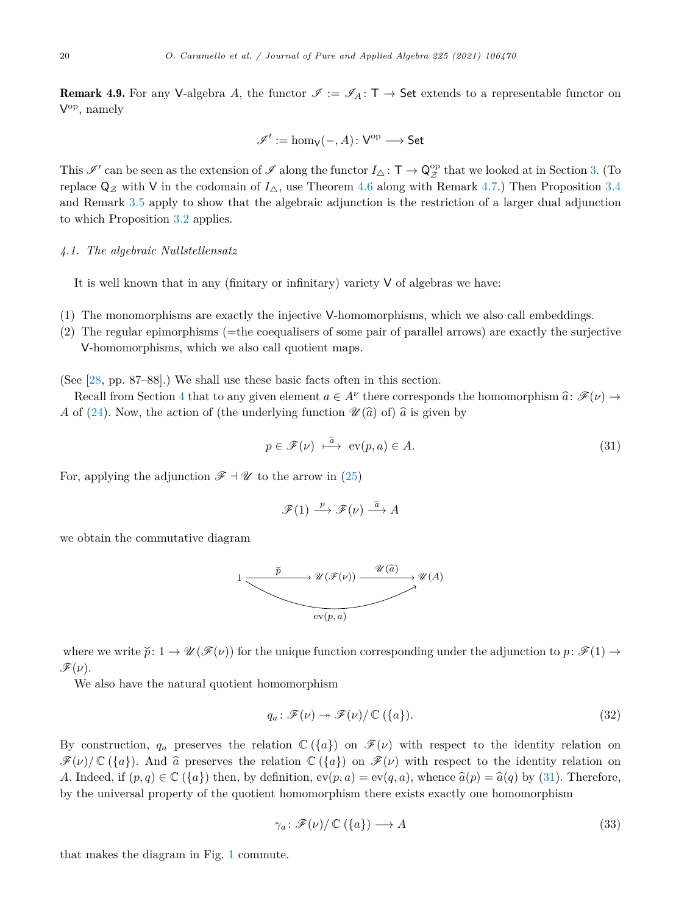<span id="page-19-0"></span>**Remark 4.9.** For any V-algebra A, the functor  $\mathscr{I} := \mathscr{I}_A : \mathsf{T} \to \mathsf{Set}$  extends to a representable functor on Vop, namely

$$
\mathscr{I}' := \hom_\mathsf{V}(-, A) \colon \mathsf{V}^\mathrm{op} \longrightarrow \mathsf{Set}
$$

This  $\mathscr{I}'$  can be seen as the extension of  $\mathscr{I}$  along the functor  $I_{\Delta} : \mathsf{T} \to \mathsf{Q}_{\mathcal{Z}}^{\mathrm{op}}$  that we looked at in Section [3.](#page-11-0) (To replace  $\mathsf{Q}_{\mathcal{Z}}$  with V in the codomain of  $I_{\Delta}$ , use Theorem [4.6](#page-17-0) along with Remark [4.7.](#page-18-0)) Then Proposition [3.4](#page-13-0) and Remark [3.5](#page-14-0) apply to show that the algebraic adjunction is the restriction of a larger dual adjunction to which Proposition [3.2](#page-12-0) applies.

# *4.1. The algebraic Nullstellensatz*

It is well known that in any (finitary or infinitary) variety  $V$  of algebras we have:

- (1) The monomorphisms are exactly the injective V-homomorphisms, which we also call embeddings.
- (2) The regular epimorphisms (=the coequalisers of some pair of parallel arrows) are exactly the surjective V-homomorphisms, which we also call quotient maps.

(See [[28,](#page-32-0) pp. 87–88].) We shall use these basic facts often in this section.

Recall from Section [4](#page-14-0) that to any given element  $a \in A^{\nu}$  there corresponds the homomorphism  $\hat{a}: \mathscr{F}(\nu) \to$ *A* of [\(24](#page-16-0)). Now, the action of (the underlying function  $\mathcal{U}(\hat{a})$  of)  $\hat{a}$  is given by

$$
p \in \mathcal{F}(\nu) \stackrel{\widehat{a}}{\longmapsto} \text{ev}(p, a) \in A. \tag{31}
$$

For, applying the adjunction  $\mathscr{F} \dashv \mathscr{U}$  to the arrow in [\(25\)](#page-16-0)

$$
\mathscr{F}(1) \xrightarrow{p} \mathscr{F}(\nu) \xrightarrow{\hat{a}} A
$$

we obtain the commutative diagram



where we write  $\tilde{p}: 1 \to \mathscr{U}(\mathscr{F}(\nu))$  for the unique function corresponding under the adjunction to  $p: \mathscr{F}(1) \to$  $\mathscr{F}(\nu)$ .

We also have the natural quotient homomorphism

$$
q_a \colon \mathscr{F}(\nu) \to \mathscr{F}(\nu) / \mathbb{C}(\{a\}). \tag{32}
$$

By construction,  $q_a$  preserves the relation  $\mathbb{C}(\lbrace a \rbrace)$  on  $\mathscr{F}(\nu)$  with respect to the identity relation on  $\mathscr{F}(\nu)/\mathbb{C}(\{a\})$ . And  $\hat{a}$  preserves the relation  $\mathbb{C}(\{a\})$  on  $\mathscr{F}(\nu)$  with respect to the identity relation on *A*. Indeed, if  $(p,q) \in \mathbb{C}(\lbrace a \rbrace)$  then, by definition,  $ev(p,a) = ev(q,a)$ , whence  $\hat{a}(p) = \hat{a}(q)$  by (31). Therefore, by the universal property of the quotient homomorphism there exists exactly one homomorphism

$$
\gamma_a \colon \mathcal{F}(\nu) / \mathbb{C}(\{a\}) \longrightarrow A \tag{33}
$$

that makes the diagram in Fig. [1](#page-20-0) commute.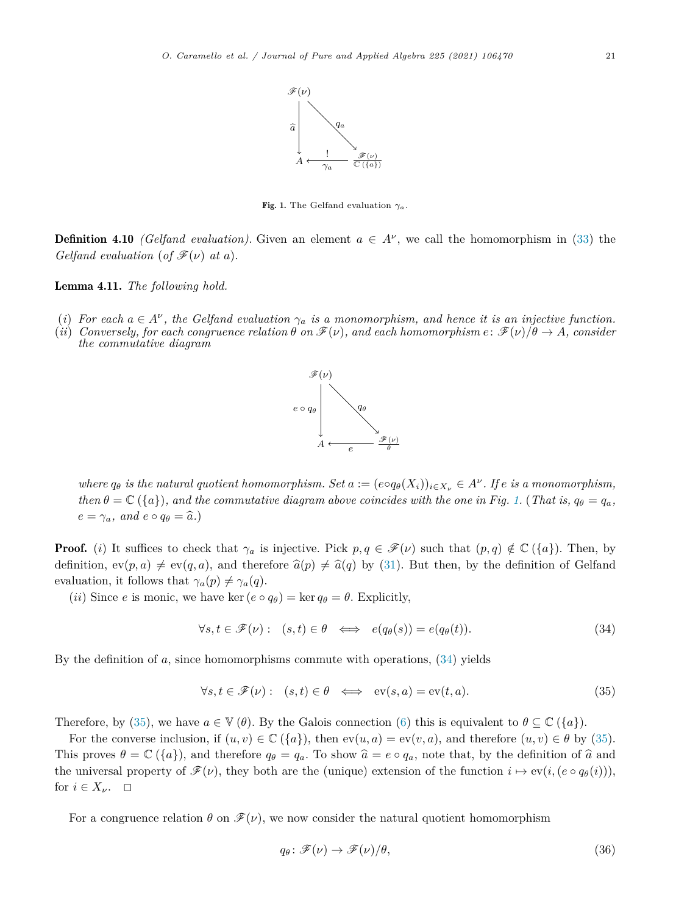

Fig. 1. The Gelfand evaluation  $\gamma_a$ .

<span id="page-20-0"></span>**Definition 4.10** *(Gelfand evaluation)*. Given an element  $a \in A^{\nu}$ , we call the homomorphism in ([33\)](#page-19-0) the *Gelfand evaluation* (*of*  $\mathcal{F}(\nu)$  *at a*).

Lemma 4.11. *The following hold.*

- (i) For each  $a \in A^{\nu}$ , the Gelfand evaluation  $\gamma_a$  is a monomorphism, and hence it is an injective function.
- (ii) Conversely, for each congruence relation  $\theta$  on  $\mathscr{F}(\nu)$ , and each homomorphism  $e: \mathscr{F}(\nu)/\theta \to A$ , consider *the commutative diagram*



where  $q_{\theta}$  is the natural quotient homomorphism. Set  $a := (e \circ q_{\theta}(X_i))_{i \in X_{\nu}} \in A^{\nu}$ . If e is a monomorphism, then  $\theta = \mathbb{C}(\{a\})$ , and the commutative diagram above coincides with the one in Fig. 1. (That is,  $q_{\theta} = q_a$ ,  $e = \gamma_a$ *,* and  $e \circ q_\theta = \hat{a}$ *.*)

**Proof.** (*i*) It suffices to check that  $\gamma_a$  is injective. Pick  $p, q \in \mathcal{F}(\nu)$  such that  $(p, q) \notin \mathbb{C}(\{a\})$ . Then, by definition,  $ev(p, a) \neq ev(q, a)$ , and therefore  $\hat{a}(p) \neq \hat{a}(q)$  by [\(31\)](#page-19-0). But then, by the definition of Gelfand evaluation, it follows that  $\gamma_a(p) \neq \gamma_a(q)$ .

(*ii*) Since *e* is monic, we have ker  $(e \circ q_{\theta}) = \ker q_{\theta} = \theta$ . Explicitly,

$$
\forall s, t \in \mathscr{F}(\nu): (s, t) \in \theta \iff e(q_{\theta}(s)) = e(q_{\theta}(t)). \tag{34}
$$

By the definition of *a*, since homomorphisms commute with operations, (34) yields

$$
\forall s, t \in \mathscr{F}(\nu): (s, t) \in \theta \iff \text{ev}(s, a) = \text{ev}(t, a). \tag{35}
$$

Therefore, by (35), we have  $a \in \mathbb{V}(\theta)$ . By the Galois connection [\(6](#page-5-0)) this is equivalent to  $\theta \subseteq \mathbb{C}(\{a\})$ .

For the converse inclusion, if  $(u, v) \in \mathbb{C} (\{a\})$ , then  $ev(u, a) = ev(v, a)$ , and therefore  $(u, v) \in \theta$  by (35). This proves  $\theta = \mathbb{C}(\{a\})$ , and therefore  $q_{\theta} = q_a$ . To show  $\hat{a} = e \circ q_a$ , note that, by the definition of  $\hat{a}$  and the universal property of  $\mathcal{F}(\nu)$ , they both are the (unique) extension of the function  $i \mapsto \text{ev}(i, (e \circ q_{\theta}(i)))$ , for  $i \in X_{\nu}$ .  $\square$ 

For a congruence relation  $\theta$  on  $\mathscr{F}(\nu)$ , we now consider the natural quotient homomorphism

$$
q_{\theta}: \mathscr{F}(\nu) \to \mathscr{F}(\nu)/\theta,\tag{36}
$$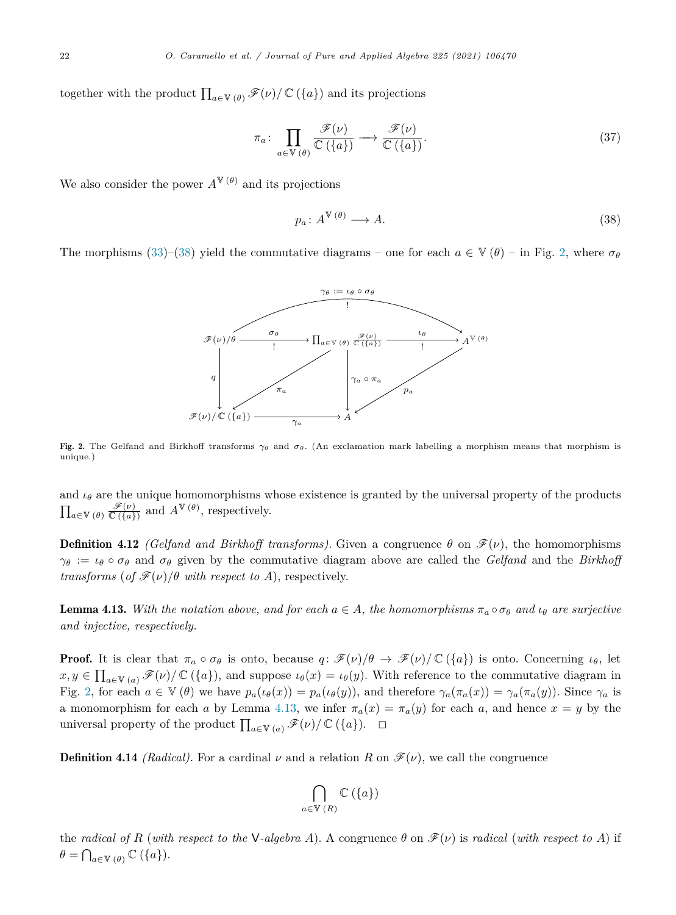together with the product  $\prod_{a\in V(\theta)} \mathscr{F}(\nu) / \mathbb{C}(\{a\})$  and its projections

$$
\pi_a \colon \prod_{a \in \mathbb{V}(\theta)} \frac{\mathscr{F}(\nu)}{\mathbb{C}(\{a\})} \longrightarrow \frac{\mathscr{F}(\nu)}{\mathbb{C}(\{a\})}. \tag{37}
$$

We also consider the power  $A^{\mathbb{V}(\theta)}$  and its projections

$$
p_a \colon A^{\mathbb{V}(\theta)} \longrightarrow A. \tag{38}
$$

The morphisms [\(33](#page-19-0))–(38) yield the commutative diagrams – one for each  $a \in V(\theta)$  – in Fig. 2, where  $\sigma_{\theta}$ 



Fig. 2. The Gelfand and Birkhoff transforms  $\gamma_{\theta}$  and  $\sigma_{\theta}$ . (An exclamation mark labelling a morphism means that morphism is unique.)

and  $\iota_{\theta}$  are the unique homomorphisms whose existence is granted by the universal property of the products  $\prod_{a\in\mathbb{V}\,(\theta)}\frac{\mathscr{F}(\nu)}{\mathbb{C}\left(\lbrace a\rbrace\right)}$  and  $A^{\mathbb{V}\,(\theta)}$ , respectively.

**Definition 4.12** *(Gelfand and Birkhoff transforms)*. Given a congruence  $\theta$  on  $\mathscr{F}(\nu)$ , the homomorphisms  $\gamma_{\theta} := \iota_{\theta} \circ \sigma_{\theta}$  and  $\sigma_{\theta}$  given by the commutative diagram above are called the *Gelfand* and the *Birkhoff transforms* (*of*  $\mathcal{F}(\nu)/\theta$  *with respect to A*), respectively.

**Lemma 4.13.** With the notation above, and for each  $a \in A$ , the homomorphisms  $\pi_a \circ \sigma_\theta$  and  $\iota_\theta$  are surjective *and injective, respectively.*

**Proof.** It is clear that  $\pi_a \circ \sigma_\theta$  is onto, because  $q: \mathscr{F}(\nu)/\theta \to \mathscr{F}(\nu)/\mathbb{C}(\{a\})$  is onto. Concerning  $\iota_\theta$ , let  $x, y \in \prod_{a \in V(a)} \mathscr{F}(\nu) / \mathbb{C}(\{a\})$ , and suppose  $\iota_{\theta}(x) = \iota_{\theta}(y)$ . With reference to the commutative diagram in Fig. 2, for each  $a \in V(\theta)$  we have  $p_a(\iota_{\theta}(x)) = p_a(\iota_{\theta}(y))$ , and therefore  $\gamma_a(\pi_a(x)) = \gamma_a(\pi_a(y))$ . Since  $\gamma_a$  is a monomorphism for each *a* by Lemma 4.13, we infer  $\pi_a(x) = \pi_a(y)$  for each *a*, and hence  $x = y$  by the universal property of the product  $\prod_{a \in \mathbb{V}(a)} \mathscr{F}(\nu) / \mathbb{C}(\{a\})$ .  $\Box$ 

**Definition 4.14** *(Radical)*. For a cardinal  $\nu$  and a relation R on  $\mathcal{F}(\nu)$ , we call the congruence

$$
\bigcap_{a\in\mathbb{V}\,(R)}\mathbb{C}\left(\{a\}\right)
$$

the *radical* of *R* (with respect to the V-algebra *A*). A congruence  $\theta$  on  $\mathcal{F}(v)$  is *radical* (with *respect* to *A*) if  $\theta = \bigcap_{a \in \mathbb{V}} \theta$  ({*a*}).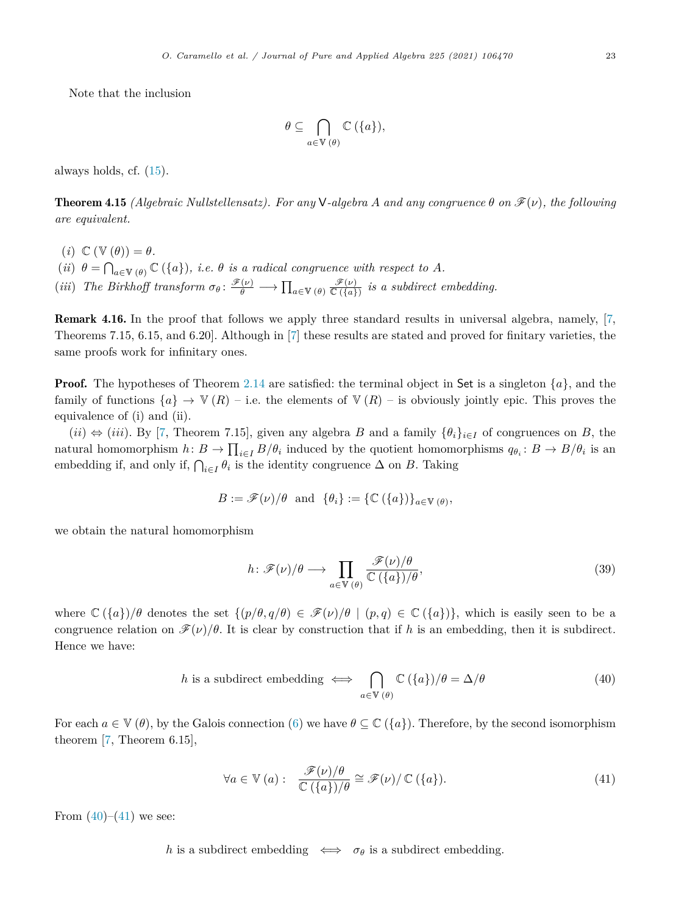<span id="page-22-0"></span>Note that the inclusion

$$
\theta \subseteq \bigcap_{a \in \mathbb{V}(\theta)} \mathbb{C}(\{a\}),
$$

always holds, cf. [\(15](#page-10-0)).

**Theorem 4.15** *(Algebraic Nullstellensatz). For any* **V**-algebra *A* and any congruence  $\theta$  on  $\mathcal{F}(\nu)$ , the following *are equivalent.*

- $(i) \mathbb{C} (\mathbb{V} (\theta)) = \theta.$
- (*ii*)  $\theta = \bigcap_{a \in \mathbb{V}} (\theta) \mathbb{C} (\{a\})$ *, i.e.*  $\theta$  *is a radical congruence with respect to A.*
- (*iii*) The Birkhoff transform  $\sigma_{\theta} \colon \frac{\mathscr{F}(\nu)}{\theta} \longrightarrow \prod_{a \in V(\theta)} \frac{\mathscr{F}(\nu)}{\mathbb{C}(\{a\})}$  is a subdirect embedding.

Remark 4.16. In the proof that follows we apply three standard results in universal algebra, namely, [[7,](#page-31-0) Theorems 7.15, 6.15, and 6.20]. Although in [\[7\]](#page-31-0) these results are stated and proved for finitary varieties, the same proofs work for infinitary ones.

**Proof.** The hypotheses of Theorem [2.14](#page-10-0) are satisfied: the terminal object in Set is a singleton  $\{a\}$ , and the family of functions  ${a} \rightarrow W(R)$  – i.e. the elements of  $V(R)$  – is obviously jointly epic. This proves the equivalence of (i) and (ii).

 $(ii) \Leftrightarrow (iii)$ . By [[7,](#page-31-0) Theorem 7.15], given any algebra *B* and a family  $\{\theta_i\}_{i\in I}$  of congruences on *B*, the natural homomorphism  $h: B \to \prod_{i \in I} B/\theta_i$  induced by the quotient homomorphisms  $q_{\theta_i}: B \to B/\theta_i$  is an embedding if, and only if,  $\bigcap_{i \in I} \theta_i$  is the identity congruence  $\Delta$  on *B*. Taking

$$
B := \mathscr{F}(\nu)/\theta \text{ and } {\theta_i} := {\mathbb{C}(\{a\})}_{{a \in V(\theta)}},
$$

we obtain the natural homomorphism

$$
h: \mathscr{F}(\nu)/\theta \longrightarrow \prod_{a \in \mathbb{V}(\theta)} \frac{\mathscr{F}(\nu)/\theta}{\mathbb{C}(\{a\})/\theta},\tag{39}
$$

where  $\mathbb{C}(\{a\})/\theta$  denotes the set  $\{(p/\theta, q/\theta) \in \mathscr{F}(\nu)/\theta \mid (p,q) \in \mathbb{C}(\{a\})\}$ , which is easily seen to be a congruence relation on  $\mathscr{F}(\nu)/\theta$ . It is clear by construction that if *h* is an embedding, then it is subdirect. Hence we have:

*h* is a subdirect embedding 
$$
\iff \bigcap_{a \in \mathbb{V}(\theta)} \mathbb{C}(\{a\})/\theta = \Delta/\theta
$$
 (40)

For each  $a \in V(\theta)$ , by the Galois connection ([6\)](#page-5-0) we have  $\theta \subseteq \mathbb{C}(\{a\})$ . Therefore, by the second isomorphism theorem [\[7,](#page-31-0) Theorem 6.15],

$$
\forall a \in \mathbb{V} \left( a \right): \quad \frac{\mathcal{F}(\nu)/\theta}{\mathbb{C} \left( \{ a \} \right) / \theta} \cong \mathcal{F}(\nu) / \mathbb{C} \left( \{ a \} \right). \tag{41}
$$

From  $(40)–(41)$  we see:

*h* is a subdirect embedding  $\iff$   $\sigma_{\theta}$  is a subdirect embedding.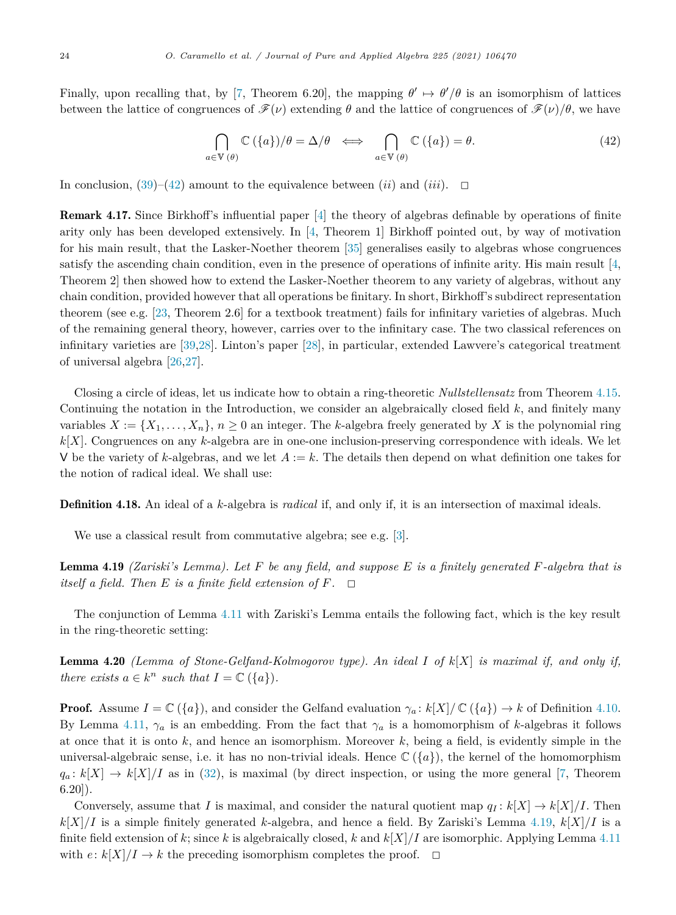<span id="page-23-0"></span>Finally, upon recalling that, by [[7,](#page-31-0) Theorem 6.20], the mapping  $\theta' \mapsto \theta'/\theta$  is an isomorphism of lattices between the lattice of congruences of  $\mathscr{F}(\nu)$  extending  $\theta$  and the lattice of congruences of  $\mathscr{F}(\nu)/\theta$ , we have

$$
\bigcap_{a\in \mathbb{V}(\theta)} \mathbb{C}\left(\{a\}\right)/\theta = \Delta/\theta \iff \bigcap_{a\in \mathbb{V}(\theta)} \mathbb{C}\left(\{a\}\right) = \theta. \tag{42}
$$

In conclusion,  $(39)-(42)$  $(39)-(42)$  $(39)-(42)$  amount to the equivalence between  $(ii)$  and  $(iii)$ .  $\Box$ 

Remark 4.17. Since Birkhoff's influential paper [\[4](#page-31-0)] the theory of algebras definable by operations of finite arity only has been developed extensively. In [\[4](#page-31-0), Theorem 1] Birkhoff pointed out, by way of motivation for his main result, that the Lasker-Noether theorem [\[35](#page-32-0)] generalises easily to algebras whose congruences satisfy the ascending chain condition, even in the presence of operations of infinite arity. His main result [[4,](#page-31-0) Theorem 2] then showed how to extend the Lasker-Noether theorem to any variety of algebras, without any chain condition, provided however that all operations be finitary. In short, Birkhoff's subdirect representation theorem (see e.g. [\[23,](#page-32-0) Theorem 2.6] for a textbook treatment) fails for infinitary varieties of algebras. Much of the remaining general theory, however, carries over to the infinitary case. The two classical references on infinitary varieties are [[39,28\]](#page-32-0). Linton's paper [\[28\]](#page-32-0), in particular, extended Lawvere's categorical treatment of universal algebra [[26,27](#page-32-0)].

Closing a circle of ideas, let us indicate how to obtain a ring-theoretic *Nullstellensatz* from Theorem [4.15.](#page-22-0) Continuing the notation in the Introduction, we consider an algebraically closed field *k*, and finitely many variables  $X := \{X_1, \ldots, X_n\}, n \geq 0$  an integer. The *k*-algebra freely generated by X is the polynomial ring *k*[*X*]. Congruences on any *k*-algebra are in one-one inclusion-preserving correspondence with ideals. We let V be the variety of  $k$ -algebras, and we let  $A := k$ . The details then depend on what definition one takes for the notion of radical ideal. We shall use:

Definition 4.18. An ideal of a *k*-algebra is *radical* if, and only if, it is an intersection of maximal ideals.

We use a classical result from commutative algebra; see e.g. [[3\]](#page-31-0).

**Lemma 4.19** (Zariski's Lemma). Let F be any field, and suppose E is a finitely generated F-algebra that is *itself a field. Then*  $E$  *is a finite field extension of*  $F$ *.*  $\Box$ 

The conjunction of Lemma [4.11](#page-20-0) with Zariski's Lemma entails the following fact, which is the key result in the ring-theoretic setting:

Lemma 4.20 *(Lemma of Stone-Gelfand-Kolmogorov type). An ideal I of k*[*X*] *is maximal if, and only if, there exists*  $a \in k^n$  *such that*  $I = \mathbb{C}(\{a\})$ *.* 

**Proof.** Assume  $I = \mathbb{C}(\{a\})$ , and consider the Gelfand evaluation  $\gamma_a: k[X]/\mathbb{C}(\{a\}) \to k$  of Definition [4.10.](#page-20-0) By Lemma [4.11,](#page-20-0)  $\gamma_a$  is an embedding. From the fact that  $\gamma_a$  is a homomorphism of *k*-algebras it follows at once that it is onto *k*, and hence an isomorphism. Moreover *k*, being a field, is evidently simple in the universal-algebraic sense, i.e. it has no non-trivial ideals. Hence  $\mathbb{C}(\lbrace a \rbrace)$ , the kernel of the homomorphism  $q_a: k[X] \to k[X]/I$  as in [\(32](#page-19-0)), is maximal (by direct inspection, or using the more general [\[7](#page-31-0), Theorem 6.20]).

Conversely, assume that *I* is maximal, and consider the natural quotient map  $q_I : k[X] \to k[X]/I$ . Then  $k[X]/I$  is a simple finitely generated *k*-algebra, and hence a field. By Zariski's Lemma 4.19,  $k[X]/I$  is a finite field extension of  $k$ ; since  $k$  is algebraically closed,  $k$  and  $k|X|/I$  are isomorphic. Applying Lemma [4.11](#page-20-0) with  $e: k[X]/I \to k$  the preceding isomorphism completes the proof.  $\Box$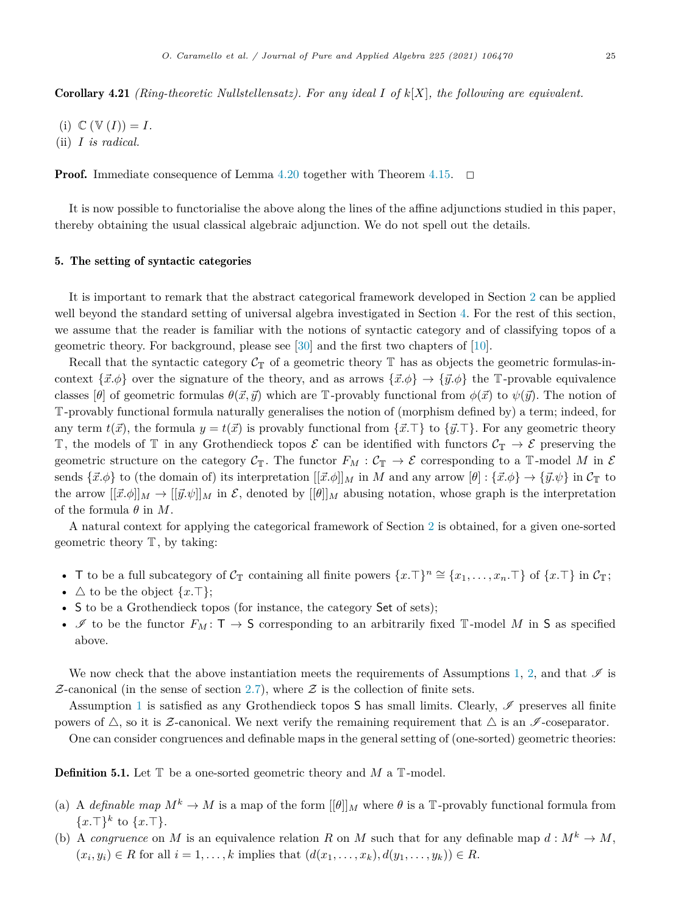<span id="page-24-0"></span>Corollary 4.21 *(Ring-theoretic Nullstellensatz). For any ideal I of k*[*X*]*, the following are equivalent.*

- $(i) \mathbb{C} (\mathbb{V}(I)) = I.$
- (ii) *I is radical.*

**Proof.** Immediate consequence of Lemma [4.20](#page-23-0) together with Theorem [4.15.](#page-22-0)  $\Box$ 

It is now possible to functorialise the above along the lines of the affine adjunctions studied in this paper, thereby obtaining the usual classical algebraic adjunction. We do not spell out the details.

# 5. The setting of syntactic categories

It is important to remark that the abstract categorical framework developed in Section [2](#page-4-0) can be applied well beyond the standard setting of universal algebra investigated in Section [4.](#page-14-0) For the rest of this section, we assume that the reader is familiar with the notions of syntactic category and of classifying topos of a geometric theory. For background, please see [[30\]](#page-32-0) and the first two chapters of [\[10](#page-32-0)].

Recall that the syntactic category  $C_T$  of a geometric theory  $\mathbb T$  has as objects the geometric formulas-incontext  $\{\vec{x}.\phi\}$  over the signature of the theory, and as arrows  $\{\vec{x}.\phi\} \to \{\vec{y}.\phi\}$  the T-provable equivalence classes  $\lbrack \theta \rbrack$  of geometric formulas  $\theta(\vec{x}, \vec{y})$  which are T-provably functional from  $\phi(\vec{x})$  to  $\psi(\vec{y})$ . The notion of T-provably functional formula naturally generalises the notion of (morphism defined by) a term; indeed, for any term  $t(\vec{x})$ , the formula  $y = t(\vec{x})$  is provably functional from  $\{\vec{x}.\top\}$  to  $\{\vec{y}.\top\}$ . For any geometric theory T, the models of T in any Grothendieck topos  $\mathcal E$  can be identified with functors  $\mathcal C_{\mathbb T}\to\mathcal E$  preserving the geometric structure on the category  $C_T$ . The functor  $F_M : C_T \to \mathcal{E}$  corresponding to a T-model M in  $\mathcal E$ sends  $\{\vec{x}.\phi\}$  to (the domain of) its interpretation  $[[\vec{x}.\phi]]_M$  in *M* and any arrow  $[\theta]: \{\vec{x}.\phi\} \to \{\vec{y}.\psi\}$  in  $\mathcal{C}_{\mathbb{T}}$  to the arrow  $[[\vec{x},\phi]]_M \to [[\vec{y},\psi]]_M$  in  $\mathcal{E}$ , denoted by  $[[\theta]]_M$  abusing notation, whose graph is the interpretation of the formula  $\theta$  in  $M$ .

A natural context for applying the categorical framework of Section [2](#page-4-0) is obtained, for a given one-sorted geometric theory  $T$ , by taking:

- T to be a full subcategory of  $C_{\mathbb{T}}$  containing all finite powers  $\{x.\top\}^n \cong \{x_1,\ldots,x_n.\top\}$  of  $\{x.\top\}$  in  $C_{\mathbb{T}}$ ;
- $\triangle$  to be the object  $\{x.\top\}$ ;
- S to be a Grothendieck topos (for instance, the category Set of sets);
- It to be the functor  $F_M: \mathsf{T} \to \mathsf{S}$  corresponding to an arbitrarily fixed T-model M in S as specified above.

We now check that the above instantiation meets the requirements of Assumptions [1,](#page-4-0) [2,](#page-7-0) and that  $\mathscr I$  is  $Z$ -canonical (in the sense of section [2.7](#page-8-0)), where  $Z$  is the collection of finite sets.

Assumption [1](#page-4-0) is satisfied as any Grothendieck topos  $S$  has small limits. Clearly,  $\mathscr I$  preserves all finite powers of  $\triangle$ , so it is Z-canonical. We next verify the remaining requirement that  $\triangle$  is an  $\mathscr{I}$ -coseparator.

One can consider congruences and definable maps in the general setting of (one-sorted) geometric theories:

Definition 5.1. Let T be a one-sorted geometric theory and *M* a T-model.

- (a) A *definable* map  $M^k \to M$  is a map of the form  $[\theta]_M$  where  $\theta$  is a T-provably functional formula from  ${x.\top}^k$  to  ${x.\top}$ .
- (b) A *congruence* on *M* is an equivalence relation *R* on *M* such that for any definable map  $d : M^k \to M$ ,  $(x_i, y_i) \in R$  for all  $i = 1, \ldots, k$  implies that  $(d(x_1, \ldots, x_k), d(y_1, \ldots, y_k)) \in R$ .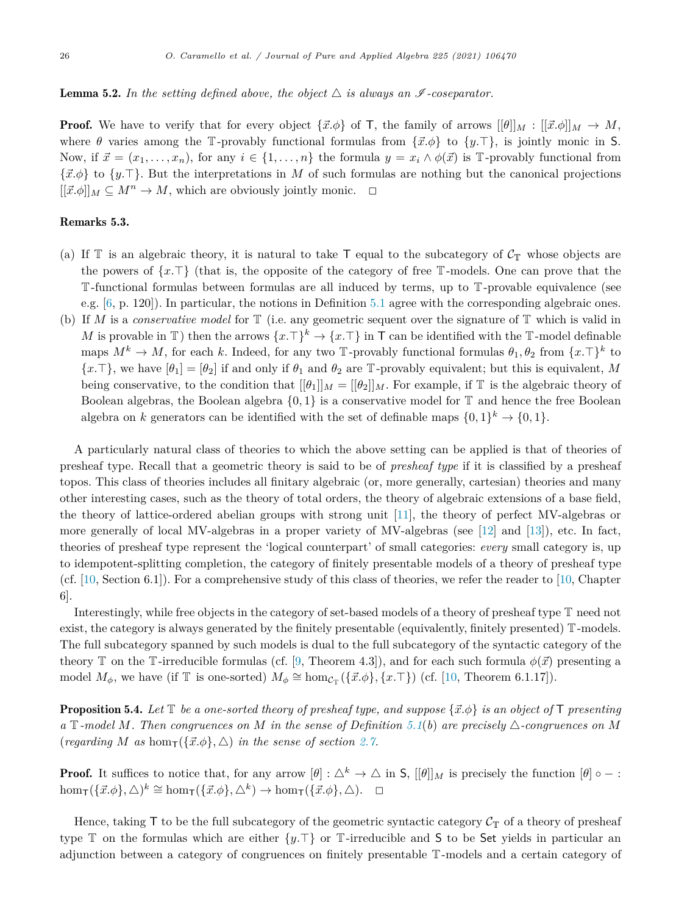# **Lemma 5.2.** In the setting defined above, the object  $\triangle$  is always an  $\mathscr I$ -coseparator.

**Proof.** We have to verify that for every object  $\{\vec{x}.\phi\}$  of T, the family of arrows  $[[\theta]]_M : [[\vec{x}.\phi]]_M \to M$ , where  $\theta$  varies among the T-provably functional formulas from  $\{\vec{x}.\phi\}$  to  $\{y.\top\}$ , is jointly monic in S. Now, if  $\vec{x} = (x_1, \ldots, x_n)$ , for any  $i \in \{1, \ldots, n\}$  the formula  $y = x_i \wedge \phi(\vec{x})$  is T-provably functional from {*x.φ*} to {*y.*}. But the interpretations in *M* of such formulas are nothing but the canonical projections  $[[\vec{x}. \phi]]_M \subseteq M^n \to M$ , which are obviously jointly monic.  $\Box$ 

#### Remarks 5.3.

- (a) If  $\mathbb T$  is an algebraic theory, it is natural to take  $\mathsf T$  equal to the subcategory of  $\mathcal C_{\mathbb T}$  whose objects are the powers of  $\{x.\top\}$  (that is, the opposite of the category of free T-models. One can prove that the T-functional formulas between formulas are all induced by terms, up to T-provable equivalence (see e.g. [[6,](#page-31-0) p. 120]). In particular, the notions in Definition [5.1](#page-24-0) agree with the corresponding algebraic ones.
- (b) If *M* is a *conservative model* for T (i.e. any geometric sequent over the signature of T which is valid in *M* is provable in T) then the arrows  $\{x.\top\}^k \to \{x.\top\}$  in T can be identified with the T-model definable maps  $M^k \to M$ , for each *k*. Indeed, for any two T-provably functional formulas  $\theta_1, \theta_2$  from  $\{x.\top\}^k$  to  ${x.\top}$ , we have  $[\theta_1] = [\theta_2]$  if and only if  $\theta_1$  and  $\theta_2$  are T-provably equivalent; but this is equivalent, *M* being conservative, to the condition that  $[[\theta_1]]_M = [[\theta_2]]_M$ . For example, if T is the algebraic theory of Boolean algebras, the Boolean algebra  $\{0, 1\}$  is a conservative model for  $\mathbb T$  and hence the free Boolean algebra on *k* generators can be identified with the set of definable maps  $\{0,1\}^k \to \{0,1\}$ .

A particularly natural class of theories to which the above setting can be applied is that of theories of presheaf type. Recall that a geometric theory is said to be of *presheaf type* if it is classified by a presheaf topos. This class of theories includes all finitary algebraic (or, more generally, cartesian) theories and many other interesting cases, such as the theory of total orders, the theory of algebraic extensions of a base field, the theory of lattice-ordered abelian groups with strong unit [\[11](#page-32-0)], the theory of perfect MV-algebras or more generally of local MV-algebras in a proper variety of MV-algebras (see [\[12\]](#page-32-0) and [\[13](#page-32-0)]), etc. In fact, theories of presheaf type represent the 'logical counterpart' of small categories: *every* small category is, up to idempotent-splitting completion, the category of finitely presentable models of a theory of presheaf type (cf.  $[10, \text{Section 6.1}]$  $[10, \text{Section 6.1}]$  $[10, \text{Section 6.1}]$ ). For a comprehensive study of this class of theories, we refer the reader to  $[10, \text{Chapter 6.1}]$  $[10, \text{Chapter 6.1}]$ 6].

Interestingly, while free objects in the category of set-based models of a theory of presheaf type T need not exist, the category is always generated by the finitely presentable (equivalently, finitely presented) T-models. The full subcategory spanned by such models is dual to the full subcategory of the syntactic category of the theory T on the T-irreducible formulas (cf. [[9,](#page-32-0) Theorem 4.3]), and for each such formula  $\phi(\vec{x})$  presenting a model  $M_{\phi}$ , we have (if T is one-sorted)  $M_{\phi} \cong \text{hom}_{\mathcal{C}_{\mathbb{T}}}(\{\vec{x}.\phi\},\{x.\top\})$  (cf. [\[10](#page-32-0), Theorem 6.1.17]).

**Proposition 5.4.** Let  $\mathbb{T}$  be a one-sorted theory of presheaf type, and suppose  $\{\vec{x} \cdot \phi\}$  is an object of  $\mathbb{T}$  presenting a T-model M. Then congruences on M in the sense of Definition [5.1](#page-24-0)(b) are precisely  $\triangle$ -congruences on M  $(\text{regarding } M \text{ as } \text{hom}_{\mathsf{T}}(\{\vec{x}.\phi\}, \triangle) \text{ in the sense of section 2.7}.$  $(\text{regarding } M \text{ as } \text{hom}_{\mathsf{T}}(\{\vec{x}.\phi\}, \triangle) \text{ in the sense of section 2.7}.$  $(\text{regarding } M \text{ as } \text{hom}_{\mathsf{T}}(\{\vec{x}.\phi\}, \triangle) \text{ in the sense of section 2.7}.$ 

**Proof.** It suffices to notice that, for any arrow  $[\theta] : \Delta^k \to \Delta$  in S,  $[[\theta]]_M$  is precisely the function  $[\theta] \circ -$ :  $hom_{\mathsf{T}}(\{\vec{x}. \phi\}, \triangle)^k \cong hom_{\mathsf{T}}(\{\vec{x}. \phi\}, \triangle^k) \to hom_{\mathsf{T}}(\{\vec{x}. \phi\}, \triangle)$ .  $\Box$ 

Hence, taking  $\mathsf T$  to be the full subcategory of the geometric syntactic category  $\mathcal{C}_{\mathbb T}$  of a theory of presheaf type  $\mathbb T$  on the formulas which are either  $\{y.\top\}$  or  $\mathbb T$ -irreducible and S to be Set yields in particular an adjunction between a category of congruences on finitely presentable T-models and a certain category of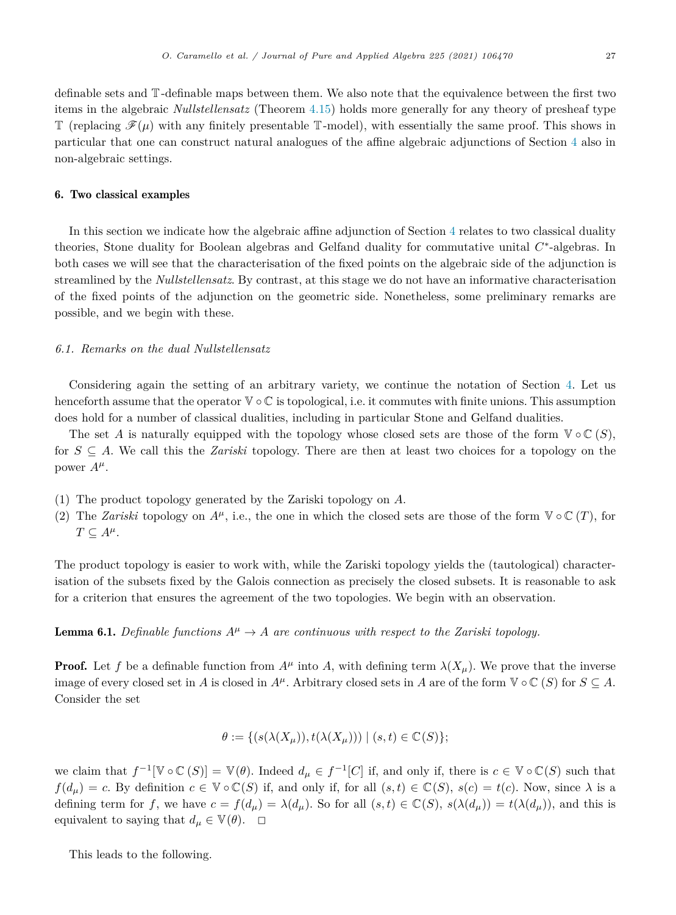<span id="page-26-0"></span>definable sets and T-definable maps between them. We also note that the equivalence between the first two items in the algebraic *Nullstellensatz* (Theorem [4.15](#page-22-0)) holds more generally for any theory of presheaf type T (replacing  $\mathcal{F}(\mu)$  with any finitely presentable T-model), with essentially the same proof. This shows in particular that one can construct natural analogues of the affine algebraic adjunctions of Section [4](#page-14-0) also in non-algebraic settings.

# 6. Two classical examples

In this section we indicate how the algebraic affine adjunction of Section [4](#page-14-0) relates to two classical duality theories, Stone duality for Boolean algebras and Gelfand duality for commutative unital *C*∗-algebras. In both cases we will see that the characterisation of the fixed points on the algebraic side of the adjunction is streamlined by the *Nullstellensatz*. By contrast, at this stage we do not have an informative characterisation of the fixed points of the adjunction on the geometric side. Nonetheless, some preliminary remarks are possible, and we begin with these.

# *6.1. Remarks on the dual Nullstellensatz*

Considering again the setting of an arbitrary variety, we continue the notation of Section [4.](#page-14-0) Let us henceforth assume that the operator V ◦ C is topological, i.e. it commutes with finite unions. This assumption does hold for a number of classical dualities, including in particular Stone and Gelfand dualities.

The set *A* is naturally equipped with the topology whose closed sets are those of the form  $\mathbb{V} \circ \mathbb{C}(S)$ , for *S* ⊆ *A*. We call this the *Zariski* topology. There are then at least two choices for a topology on the power  $A^{\mu}$ .

- (1) The product topology generated by the Zariski topology on *A*.
- (2) The *Zariski* topology on  $A^{\mu}$ , i.e., the one in which the closed sets are those of the form  $\mathbb{V} \circ \mathbb{C} (T)$ , for  $T \subseteq A^{\mu}$ .

The product topology is easier to work with, while the Zariski topology yields the (tautological) characterisation of the subsets fixed by the Galois connection as precisely the closed subsets. It is reasonable to ask for a criterion that ensures the agreement of the two topologies. We begin with an observation.

**Lemma 6.1.** *Definable functions*  $A^{\mu} \rightarrow A$  *are continuous with respect to the Zariski topology.* 

**Proof.** Let f be a definable function from  $A^{\mu}$  into A, with defining term  $\lambda(X_{\mu})$ . We prove that the inverse image of every closed set in *A* is closed in  $A^{\mu}$ . Arbitrary closed sets in *A* are of the form  $\mathbb{V} \circ \mathbb{C}$  (*S*) for  $S \subseteq A$ . Consider the set

$$
\theta := \{ (s(\lambda(X_{\mu})), t(\lambda(X_{\mu}))) \mid (s, t) \in \mathbb{C}(S) \};
$$

we claim that  $f^{-1}[\mathbb{V} \circ \mathbb{C}(S)] = \mathbb{V}(\theta)$ . Indeed  $d_{\mu} \in f^{-1}[C]$  if, and only if, there is  $c \in \mathbb{V} \circ \mathbb{C}(S)$  such that  $f(d_{\mu}) = c$ . By definition  $c \in \mathbb{V} \circ \mathbb{C}(S)$  if, and only if, for all  $(s,t) \in \mathbb{C}(S)$ ,  $s(c) = t(c)$ . Now, since  $\lambda$  is a defining term for f, we have  $c = f(d_\mu) = \lambda(d_\mu)$ . So for all  $(s, t) \in \mathbb{C}(S)$ ,  $s(\lambda(d_\mu)) = t(\lambda(d_\mu))$ , and this is equivalent to saying that  $d_{\mu} \in \mathbb{V}(\theta)$ .  $\Box$ 

This leads to the following.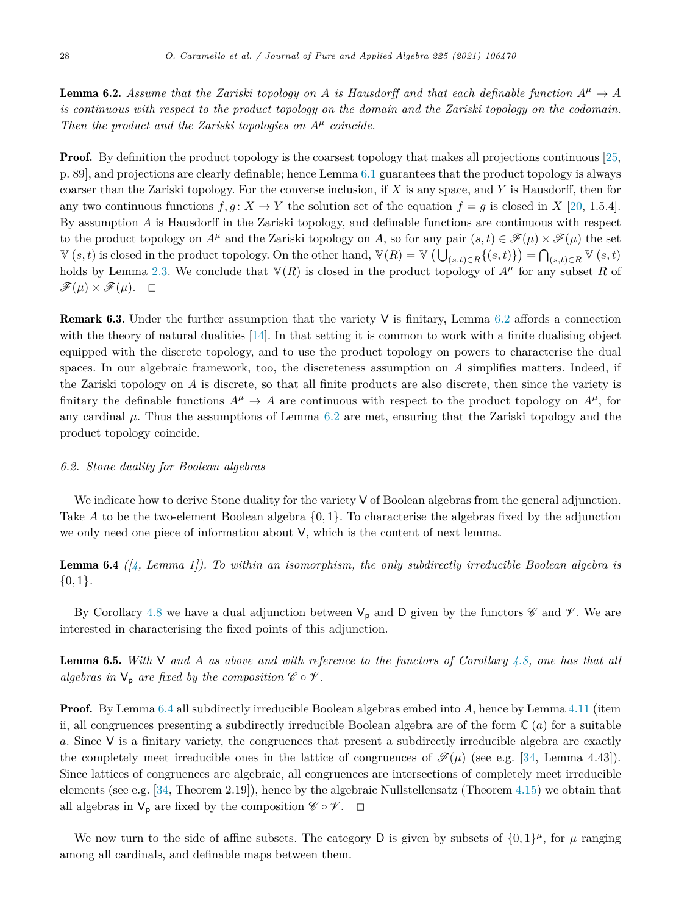<span id="page-27-0"></span>**Lemma 6.2.** Assume that the Zariski topology on A is Hausdorff and that each definable function  $A^{\mu} \to A$ is continuous with respect to the product topology on the domain and the Zariski topology on the codomain. *Then the product and the Zariski topologies on A<sup>μ</sup> coincide.*

**Proof.** By definition the product topology is the coarsest topology that makes all projections continuous [[25,](#page-32-0) p. 89], and projections are clearly definable; hence Lemma [6.1](#page-26-0) guarantees that the product topology is always coarser than the Zariski topology. For the converse inclusion, if *X* is any space, and *Y* is Hausdorff, then for any two continuous functions  $f, q: X \to Y$  the solution set of the equation  $f = q$  is closed in X [\[20](#page-32-0), 1.5.4]. By assumption *A* is Hausdorff in the Zariski topology, and definable functions are continuous with respect to the product topology on  $A^{\mu}$  and the Zariski topology on *A*, so for any pair  $(s,t) \in \mathscr{F}(\mu) \times \mathscr{F}(\mu)$  the set  $V(s,t)$  is closed in the product topology. On the other hand,  $V(R) = V(\bigcup_{(s,t)\in R} \{(s,t)\}) = \bigcap_{(s,t)\in R} V(s,t)$ holds by Lemma [2.3.](#page-5-0) We conclude that  $V(R)$  is closed in the product topology of  $A^{\mu}$  for any subset R of  $\mathscr{F}(\mu) \times \mathscr{F}(\mu)$ .  $\Box$ 

**Remark 6.3.** Under the further assumption that the variety  $V$  is finitary, Lemma 6.2 affords a connection with the theory of natural dualities [\[14\]](#page-32-0). In that setting it is common to work with a finite dualising object equipped with the discrete topology, and to use the product topology on powers to characterise the dual spaces. In our algebraic framework, too, the discreteness assumption on *A* simplifies matters. Indeed, if the Zariski topology on *A* is discrete, so that all finite products are also discrete, then since the variety is finitary the definable functions  $A^{\mu} \to A$  are continuous with respect to the product topology on  $A^{\mu}$ , for any cardinal *μ*. Thus the assumptions of Lemma 6.2 are met, ensuring that the Zariski topology and the product topology coincide.

#### *6.2. Stone duality for Boolean algebras*

We indicate how to derive Stone duality for the variety V of Boolean algebras from the general adjunction. Take *A* to be the two-element Boolean algebra {0*,* 1}. To characterise the algebras fixed by the adjunction we only need one piece of information about V, which is the content of next lemma.

Lemma 6.4 *([[4](#page-31-0), Lemma 1]). To within an isomorphism, the only subdirectly irreducible Boolean algebra is* {0*,* 1}*.*

By Corollary [4.8](#page-18-0) we have a dual adjunction between  $V_p$  and D given by the functors  $\mathscr{C}$  and  $\mathscr{V}$ . We are interested in characterising the fixed points of this adjunction.

**Lemma 6.5.** With V and A as above and with reference to the functors of Corollary [4.8](#page-18-0), one has that all *algebras in*  $V_p$  *are fixed by the composition*  $\mathscr{C} \circ \mathscr{V}$ *.* 

**Proof.** By Lemma 6.4 all subdirectly irreducible Boolean algebras embed into A, hence by Lemma [4.11](#page-20-0) (item ii, all congruences presenting a subdirectly irreducible Boolean algebra are of the form C (*a*) for a suitable *a*. Since V is a finitary variety, the congruences that present a subdirectly irreducible algebra are exactly the completely meet irreducible ones in the lattice of congruences of  $\mathcal{F}(\mu)$  (see e.g. [\[34](#page-32-0), Lemma 4.43]). Since lattices of congruences are algebraic, all congruences are intersections of completely meet irreducible elements (see e.g. [\[34,](#page-32-0) Theorem 2.19]), hence by the algebraic Nullstellensatz (Theorem [4.15\)](#page-22-0) we obtain that all algebras in  $V_p$  are fixed by the composition  $\mathscr{C} \circ \mathscr{V}$ .  $\Box$ 

We now turn to the side of affine subsets. The category D is given by subsets of  $\{0,1\}^{\mu}$ , for  $\mu$  ranging among all cardinals, and definable maps between them.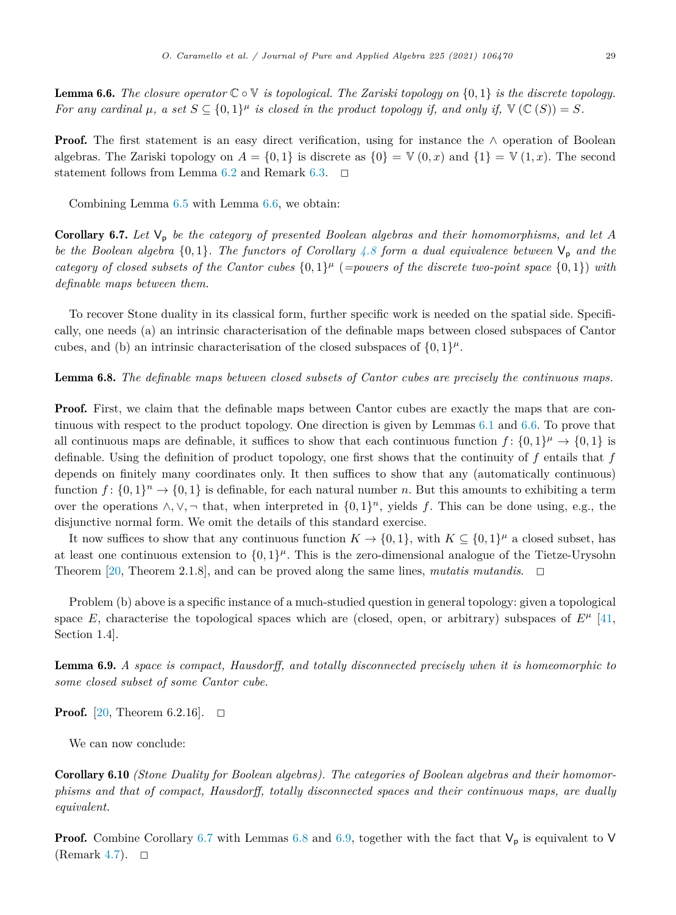**Lemma 6.6.** The closure operator  $\mathbb{C} \circ \mathbb{V}$  is topological. The Zariski topology on  $\{0,1\}$  is the discrete topology. For any cardinal  $\mu$ , a set  $S \subseteq \{0,1\}^{\mu}$  is closed in the product topology if, and only if,  $\mathbb{V}(\mathbb{C}(S)) = S$ .

Proof. The first statement is an easy direct verification, using for instance the ∧ operation of Boolean algebras. The Zariski topology on  $A = \{0, 1\}$  is discrete as  $\{0\} = \mathbb{V}(0, x)$  and  $\{1\} = \mathbb{V}(1, x)$ . The second statement follows from Lemma [6.2](#page-27-0) and Remark [6.3](#page-27-0).  $\Box$ 

Combining Lemma [6.5](#page-27-0) with Lemma 6.6, we obtain:

Corollary 6.7. Let  $V_p$  be the category of presented Boolean algebras and their homomorphisms, and let A be the Boolean algebra  $\{0,1\}$ . The functors of Corollary [4.8](#page-18-0) form a dual equivalence between  $V_p$  and the category of closed subsets of the Cantor cubes  $\{0,1\}^{\mu}$  (=powers of the discrete two-point space  $\{0,1\}$ ) with *definable maps between them.*

To recover Stone duality in its classical form, further specific work is needed on the spatial side. Specifically, one needs (a) an intrinsic characterisation of the definable maps between closed subspaces of Cantor cubes, and (b) an intrinsic characterisation of the closed subspaces of  $\{0, 1\}^{\mu}$ .

Lemma 6.8. *The definable maps between closed subsets of Cantor cubes are precisely the continuous maps.*

**Proof.** First, we claim that the definable maps between Cantor cubes are exactly the maps that are continuous with respect to the product topology. One direction is given by Lemmas [6.1](#page-26-0) and 6.6. To prove that all continuous maps are definable, it suffices to show that each continuous function  $f: \{0,1\}^{\mu} \to \{0,1\}$  is definable. Using the definition of product topology, one first shows that the continuity of *f* entails that *f* depends on finitely many coordinates only. It then suffices to show that any (automatically continuous) function  $f: \{0,1\}^n \to \{0,1\}$  is definable, for each natural number *n*. But this amounts to exhibiting a term over the operations <sup>∧</sup>*,*∨*,*<sup>¬</sup> that, when interpreted in {0*,* <sup>1</sup>}*<sup>n</sup>*, yields *<sup>f</sup>*. This can be done using, e.g., the disjunctive normal form. We omit the details of this standard exercise.

It now suffices to show that any continuous function  $K \to \{0,1\}$ , with  $K \subseteq \{0,1\}^{\mu}$  a closed subset, has at least one continuous extension to  $\{0,1\}^{\mu}$ . This is the zero-dimensional analogue of the Tietze-Urysohn Theorem [[20,](#page-32-0) Theorem 2.1.8], and can be proved along the same lines, *mutatis mutandis*.  $\Box$ 

Problem (b) above is a specific instance of a much-studied question in general topology: given a topological space *E*, characterise the topological spaces which are (closed, open, or arbitrary) subspaces of  $E^{\mu}$  [\[41](#page-32-0), Section 1.4].

Lemma 6.9. *A space is compact, Hausdorff, and totally disconnected precisely when it is homeomorphic to some closed subset of some Cantor cube.*

**Proof.** [[20,](#page-32-0) Theorem 6.2.16].  $\Box$ 

We can now conclude:

Corollary 6.10 *(Stone Duality for Boolean algebras). The categories of Boolean algebras and their homomorphisms and that of compact, Hausdorff, totally disconnected spaces and their continuous maps, are dually equivalent.*

**Proof.** Combine Corollary 6.7 with Lemmas 6.8 and 6.9, together with the fact that  $V_p$  is equivalent to V (Remark [4.7](#page-18-0)).  $\Box$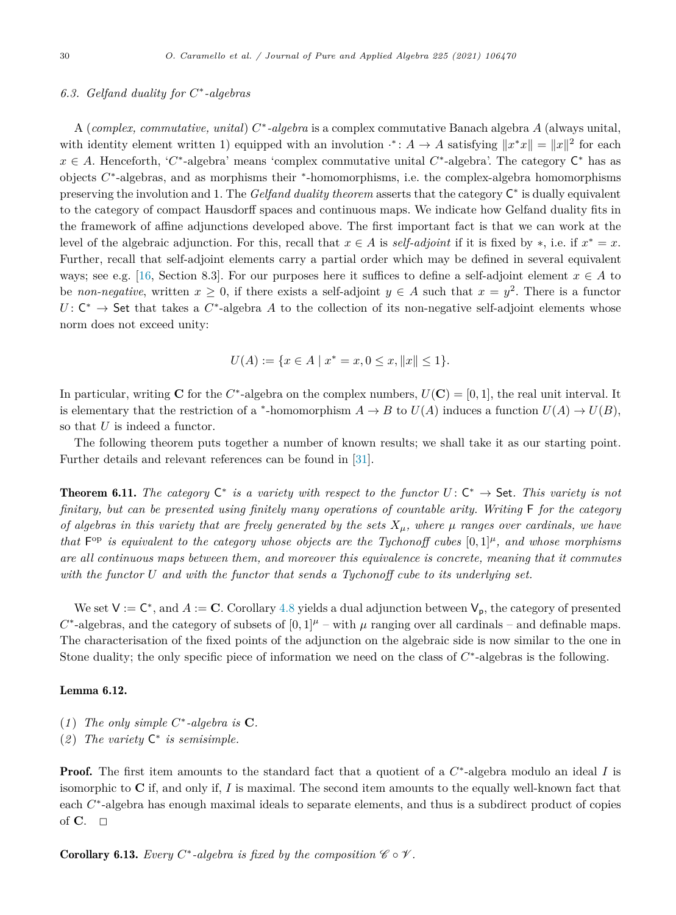#### <span id="page-29-0"></span>*6.3. Gelfand duality for C*∗*-algebras*

A (*complex, commutative, unital*) *C*∗*-algebra* is a complex commutative Banach algebra *A* (always unital, with identity element written 1) equipped with an involution  $f: A \to A$  satisfying  $||x^*x|| = ||x||^2$  for each *x* ∈ *A*. Henceforth, '*C*∗-algebra' means 'complex commutative unital *C*∗-algebra'. The category C<sup>∗</sup> has as objects *C*∗-algebras, and as morphisms their <sup>∗</sup>-homomorphisms, i.e. the complex-algebra homomorphisms preserving the involution and 1. The *Gelfand duality theorem* asserts that the category C<sup>∗</sup> is dually equivalent to the category of compact Hausdorff spaces and continuous maps. We indicate how Gelfand duality fits in the framework of affine adjunctions developed above. The first important fact is that we can work at the level of the algebraic adjunction. For this, recall that  $x \in A$  is *self-adjoint* if it is fixed by \*, i.e. if  $x^* = x$ . Further, recall that self-adjoint elements carry a partial order which may be defined in several equivalent ways; see e.g. [[16,](#page-32-0) Section 8.3]. For our purposes here it suffices to define a self-adjoint element  $x \in A$  to be *non-negative*, written  $x \geq 0$ , if there exists a self-adjoint  $y \in A$  such that  $x = y^2$ . There is a functor *U*: C<sup>∗</sup> → Set that takes a *C*<sup>∗</sup>-algebra *A* to the collection of its non-negative self-adjoint elements whose norm does not exceed unity:

$$
U(A) := \{ x \in A \mid x^* = x, 0 \le x, ||x|| \le 1 \}.
$$

In particular, writing **C** for the  $C^*$ -algebra on the complex numbers,  $U(\mathbf{C}) = [0, 1]$ , the real unit interval. It is elementary that the restriction of a \*-homomorphism  $A \to B$  to  $U(A)$  induces a function  $U(A) \to U(B)$ , so that *U* is indeed a functor.

The following theorem puts together a number of known results; we shall take it as our starting point. Further details and relevant references can be found in [[31\]](#page-32-0).

**Theorem 6.11.** The category  $C^*$  is a variety with respect to the functor  $U: C^* \to \mathsf{Set}$ . This variety is not *finitary, but can be presented using finitely many operations of countable arity. Writing* F *for the category* of algebras in this variety that are freely generated by the sets  $X_{\mu}$ , where  $\mu$  ranges over cardinals, we have that  $F^{\rm op}$  is equivalent to the category whose objects are the Tychonoff cubes  $[0,1]^{\mu}$ , and whose morphisms *are all continuous maps between them, and moreover this equivalence is concrete, meaning that it commutes with the functor U and with the functor that sends a Tychonoff cube to its underlying set.*

We set  $V := C^*$ , and  $A := C$ . Corollary [4.8](#page-18-0) yields a dual adjunction between  $V_p$ , the category of presented  $C^*$ -algebras, and the category of subsets of  $[0,1]$ <sup> $\mu$ </sup> – with  $\mu$  ranging over all cardinals – and definable maps. The characterisation of the fixed points of the adjunction on the algebraic side is now similar to the one in Stone duality; the only specific piece of information we need on the class of *C*∗-algebras is the following.

#### Lemma 6.12.

- (1) The only simple  $C^*$ -algebra is  $C$ *.*
- (*2* ) *The variety* C<sup>∗</sup> *is semisimple.*

Proof. The first item amounts to the standard fact that a quotient of a *C*∗-algebra modulo an ideal *I* is isomorphic to **C** if, and only if, *I* is maximal. The second item amounts to the equally well-known fact that each *C*∗-algebra has enough maximal ideals to separate elements, and thus is a subdirect product of copies of **C**.  $\Box$ 

**Corollary 6.13.** *Every*  $C^*$ -algebra *is fixed by the composition*  $C \circ V$ *.*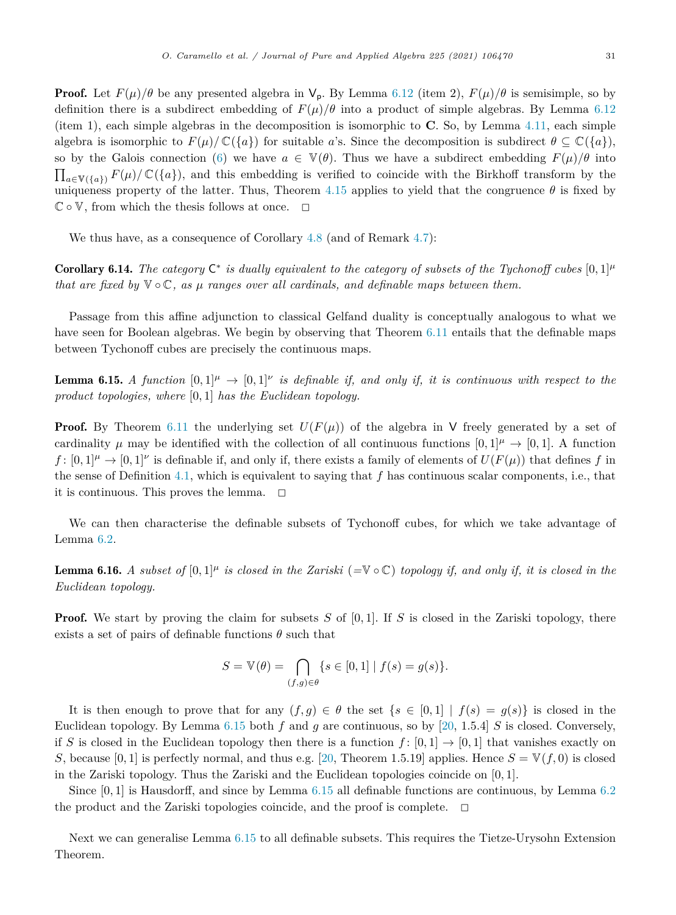<span id="page-30-0"></span>**Proof.** Let  $F(\mu)/\theta$  be any presented algebra in  $V_p$ . By Lemma [6.12](#page-29-0) (item 2),  $F(\mu)/\theta$  is semisimple, so by definition there is a subdirect embedding of  $F(\mu)/\theta$  into a product of simple algebras. By Lemma [6.12](#page-29-0) (item 1), each simple algebras in the decomposition is isomorphic to **C**. So, by Lemma [4.11,](#page-20-0) each simple algebra is isomorphic to  $F(\mu)/\mathbb{C}(\lbrace a \rbrace)$  for suitable *a*'s. Since the decomposition is subdirect  $\theta \subseteq \mathbb{C}(\lbrace a \rbrace)$ , so by the Galois connection [\(6\)](#page-5-0) we have  $a \in \mathbb{V}(\theta)$ . Thus we have a subdirect embedding  $F(\mu)/\theta$  into  $\prod_{a\in V(\{a\})} F(\mu)/\mathbb{C}(\{a\}),$  and this embedding is verified to coincide with the Birkhoff transform by the uniqueness property of the latter. Thus, Theorem [4.15](#page-22-0) applies to yield that the congruence  $\theta$  is fixed by  $\mathbb{C} \circ \mathbb{V}$ , from which the thesis follows at once.  $\Box$ 

We thus have, as a consequence of Corollary [4.8](#page-18-0) (and of Remark [4.7\)](#page-18-0):

**Corollary 6.14.** The category  $C^*$  is dually equivalent to the category of subsets of the Tychonoff cubes  $[0,1]^{\mu}$ *that* are fixed by  $\nabla \circ \mathbb{C}$ , as  $\mu$  ranges over all cardinals, and definable maps between them.

Passage from this affine adjunction to classical Gelfand duality is conceptually analogous to what we have seen for Boolean algebras. We begin by observing that Theorem [6.11](#page-29-0) entails that the definable maps between Tychonoff cubes are precisely the continuous maps.

**Lemma 6.15.** A function  $[0,1]^{\mu} \to [0,1]^{\nu}$  is definable if, and only if, it is continuous with respect to the *product topologies, where* [0*,* 1] *has the Euclidean topology.*

**Proof.** By Theorem [6.11](#page-29-0) the underlying set  $U(F(\mu))$  of the algebra in V freely generated by a set of cardinality  $\mu$  may be identified with the collection of all continuous functions  $[0, 1]$ <sup> $\mu \rightarrow [0, 1]$ . A function</sup>  $f: [0,1]^{\mu} \to [0,1]^{\nu}$  is definable if, and only if, there exists a family of elements of  $U(F(\mu))$  that defines f in the sense of Definition [4.1](#page-16-0), which is equivalent to saying that *f* has continuous scalar components, i.e., that it is continuous. This proves the lemma.  $\Box$ 

We can then characterise the definable subsets of Tychonoff cubes, for which we take advantage of Lemma [6.2](#page-27-0).

**Lemma 6.16.** A subset of  $[0,1]^{\mu}$  is closed in the Zariski  $(\equiv \mathbb{V} \circ \mathbb{C})$  topology if, and only if, it is closed in the *Euclidean topology.*

**Proof.** We start by proving the claim for subsets *S* of [0,1]. If *S* is closed in the Zariski topology, there exists a set of pairs of definable functions  $\theta$  such that

$$
S = \mathbb{V}(\theta) = \bigcap_{(f,g)\in\theta} \{ s \in [0,1] \mid f(s) = g(s) \}.
$$

It is then enough to prove that for any  $(f,g) \in \theta$  the set  $\{s \in [0,1] \mid f(s) = g(s)\}\$ is closed in the Euclidean topology. By Lemma 6.15 both *f* and *g* are continuous, so by [\[20,](#page-32-0) 1.5.4] *S* is closed. Conversely, if *S* is closed in the Euclidean topology then there is a function  $f: [0,1] \rightarrow [0,1]$  that vanishes exactly on *S*, because [0, 1] is perfectly normal, and thus e.g. [\[20,](#page-32-0) Theorem 1.5.19] applies. Hence  $S = V(f, 0)$  is closed in the Zariski topology. Thus the Zariski and the Euclidean topologies coincide on [0*,* 1].

Since [0, 1] is Hausdorff, and since by Lemma 6.15 all definable functions are continuous, by Lemma [6.2](#page-27-0) the product and the Zariski topologies coincide, and the proof is complete.  $\Box$ 

Next we can generalise Lemma 6.15 to all definable subsets. This requires the Tietze-Urysohn Extension Theorem.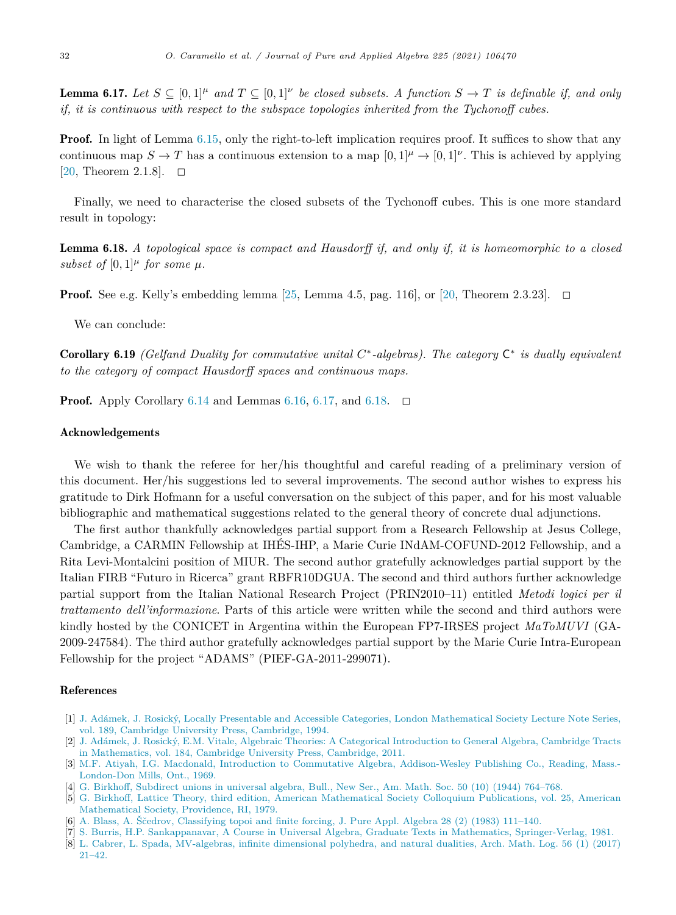<span id="page-31-0"></span>**Lemma 6.17.** Let  $S \subseteq [0,1]^{\mu}$  and  $T \subseteq [0,1]^{\nu}$  be closed subsets. A function  $S \to T$  is definable if, and only *if, it is continuous with respect to the subspace topologies inherited from the Tychonoff cubes.*

**Proof.** In light of Lemma [6.15,](#page-30-0) only the right-to-left implication requires proof. It suffices to show that any continuous map  $S \to T$  has a continuous extension to a map  $[0, 1]^{\mu} \to [0, 1]^{\nu}$ . This is achieved by applying [[20,](#page-32-0) Theorem 2.1.8].  $\Box$ 

Finally, we need to characterise the closed subsets of the Tychonoff cubes. This is one more standard result in topology:

Lemma 6.18. *A topological space is compact and Hausdorff if, and only if, it is homeomorphic to a closed subset of*  $[0,1]$ <sup> $\mu$ </sup> *for some*  $\mu$ *.* 

**Proof.** See e.g. Kelly's embedding lemma  $[25, \text{ Lemma } 4.5, \text{ pag. } 116]$  $[25, \text{ Lemma } 4.5, \text{ pag. } 116]$ , or  $[20, \text{ Theorem } 2.3.23]$  $[20, \text{ Theorem } 2.3.23]$ .  $\Box$ 

We can conclude:

Corollary 6.19 *(Gelfand Duality for commutative unital C*∗*-algebras). The category* C<sup>∗</sup> *is dually equivalent to the category of compact Hausdorff spaces and continuous maps.*

**Proof.** Apply Corollary [6.14](#page-30-0) and Lemmas [6.16,](#page-30-0) 6.17, and 6.18.  $\Box$ 

#### Acknowledgements

We wish to thank the referee for her/his thoughtful and careful reading of a preliminary version of this document. Her/his suggestions led to several improvements. The second author wishes to express his gratitude to Dirk Hofmann for a useful conversation on the subject of this paper, and for his most valuable bibliographic and mathematical suggestions related to the general theory of concrete dual adjunctions.

The first author thankfully acknowledges partial support from a Research Fellowship at Jesus College, Cambridge, a CARMIN Fellowship at IHÉS-IHP, a Marie Curie INdAM-COFUND-2012 Fellowship, and a Rita Levi-Montalcini position of MIUR. The second author gratefully acknowledges partial support by the Italian FIRB "Futuro in Ricerca" grant RBFR10DGUA. The second and third authors further acknowledge partial support from the Italian National Research Project (PRIN2010–11) entitled *Metodi logici per il trattamento dell'informazione*. Parts of this article were written while the second and third authors were kindly hosted by the CONICET in Argentina within the European FP7-IRSES project *MaToMUVI* (GA-2009-247584). The third author gratefully acknowledges partial support by the Marie Curie Intra-European Fellowship for the project "ADAMS" (PIEF-GA-2011-299071).

#### References

- [1] J. Adámek, J. Rosický, Locally Presentable and Accessible Categories, London [Mathematical](http://refhub.elsevier.com/S0022-4049(20)30171-7/bibA60E58D7C20EC937F535F19D03EF8166s1) Society Lecture Note Series, vol. 189, Cambridge University Press, [Cambridge,](http://refhub.elsevier.com/S0022-4049(20)30171-7/bibA60E58D7C20EC937F535F19D03EF8166s1) 1994.
- [2] J. Adámek, J. Rosický, E.M. Vitale, Algebraic Theories: A Categorical [Introduction](http://refhub.elsevier.com/S0022-4049(20)30171-7/bibACE673E3D74B51A6548D175752378CBDs1) to General Algebra, Cambridge Tracts in [Mathematics,](http://refhub.elsevier.com/S0022-4049(20)30171-7/bibACE673E3D74B51A6548D175752378CBDs1) vol. 184, Cambridge University Press, Cambridge, 2011.
- [3] M.F. Atiyah, I.G. Macdonald, Introduction to Commutative Algebra, [Addison-Wesley](http://refhub.elsevier.com/S0022-4049(20)30171-7/bib2562A34303BC0189FB2591A2662E2884s1) Publishing Co., Reading, Mass.- [London-Don](http://refhub.elsevier.com/S0022-4049(20)30171-7/bib2562A34303BC0189FB2591A2662E2884s1) Mills, Ont., 1969.
- [4] G. Birkhoff, [Subdirect](http://refhub.elsevier.com/S0022-4049(20)30171-7/bib2B88E3CCFBB17126B112C1185C648DAAs1) unions in universal algebra, Bull., New Ser., Am. Math. Soc. 50 (10) (1944) 764–768.
- [5] G. Birkhoff, Lattice Theory, third edition, American [Mathematical](http://refhub.elsevier.com/S0022-4049(20)30171-7/bibFAAED7450F5B73E70C0EA0FEE9A8D36Fs1) Society Colloquium Publications, vol. 25, American [Mathematical](http://refhub.elsevier.com/S0022-4049(20)30171-7/bibFAAED7450F5B73E70C0EA0FEE9A8D36Fs1) Society, Providence, RI, 1979.
- [6] A. Blass, A. Ščedrov, [Classifying](http://refhub.elsevier.com/S0022-4049(20)30171-7/bibE5F45C22460FFDF5840977BA2C4F2319s1) topoi and finite forcing, J. Pure Appl. Algebra 28 (2) (1983) 111–140.
- [7] S. Burris, H.P. Sankappanavar, A Course in Universal Algebra, Graduate Texts in Mathematics, [Springer-Verlag,](http://refhub.elsevier.com/S0022-4049(20)30171-7/bib9AD1EEA043E3C10ABD1730DA5ABD29F6s1) 1981.
- [8] L. Cabrer, L. Spada, [MV-algebras,](http://refhub.elsevier.com/S0022-4049(20)30171-7/bibB34D262623EBA6F1DEE3386038FAF279s1) infinite dimensional polyhedra, and natural dualities, Arch. Math. Log. 56 (1) (2017) [21–42.](http://refhub.elsevier.com/S0022-4049(20)30171-7/bibB34D262623EBA6F1DEE3386038FAF279s1)